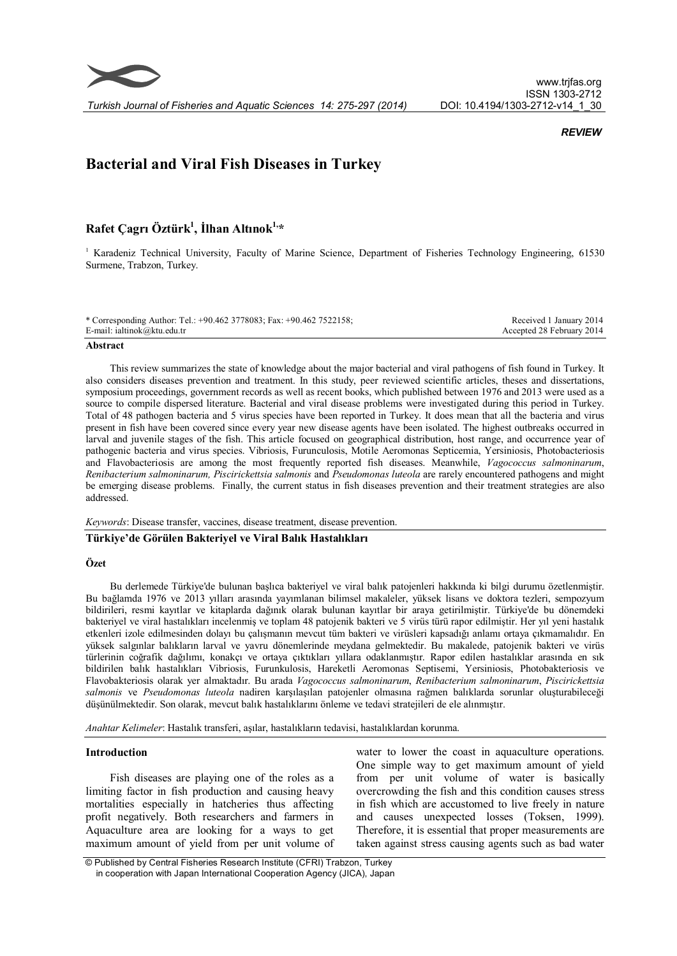

## **REVIEW**

# Bacterial and Viral Fish Diseases in Turkey

## Rafet Çagrı Öztürk $^1,$  İlhan Altınok $^{1,\ast}$

<sup>1</sup> Karadeniz Technical University, Faculty of Marine Science, Department of Fisheries Technology Engineering, 61530 Surmene, Trabzon, Turkey.

| * Corresponding Author: Tel.: +90.462 3778083; Fax: +90.462 7522158; | Received 1 January 2014   |
|----------------------------------------------------------------------|---------------------------|
| E-mail: ialtinok@ktu.edu.tr                                          | Accepted 28 February 2014 |
|                                                                      |                           |

#### Abstract

This review summarizes the state of knowledge about the major bacterial and viral pathogens of fish found in Turkey. It also considers diseases prevention and treatment. In this study, peer reviewed scientific articles, theses and dissertations, symposium proceedings, government records as well as recent books, which published between 1976 and 2013 were used as a source to compile dispersed literature. Bacterial and viral disease problems were investigated during this period in Turkey. Total of 48 pathogen bacteria and 5 virus species have been reported in Turkey. It does mean that all the bacteria and virus present in fish have been covered since every year new disease agents have been isolated. The highest outbreaks occurred in larval and juvenile stages of the fish. This article focused on geographical distribution, host range, and occurrence year of pathogenic bacteria and virus species. Vibriosis, Furunculosis, Motile Aeromonas Septicemia, Yersiniosis, Photobacteriosis and Flavobacteriosis are among the most frequently reported fish diseases. Meanwhile, Vagococcus salmoninarum, Renibacterium salmoninarum, Piscirickettsia salmonis and Pseudomonas luteola are rarely encountered pathogens and might be emerging disease problems. Finally, the current status in fish diseases prevention and their treatment strategies are also addressed.

#### Keywords: Disease transfer, vaccines, disease treatment, disease prevention.

## Türkiye'de Görülen Bakteriyel ve Viral Balık Hastalıkları

## Özet

Bu derlemede Türkiye'de bulunan başlıca bakteriyel ve viral balık patojenleri hakkında ki bilgi durumu özetlenmiştir. Bu bağlamda 1976 ve 2013 yılları arasında yayımlanan bilimsel makaleler, yüksek lisans ve doktora tezleri, sempozyum bildirileri, resmi kayıtlar ve kitaplarda dağınık olarak bulunan kayıtlar bir araya getirilmiştir. Türkiye'de bu dönemdeki bakteriyel ve viral hastalıkları incelenmiş ve toplam 48 patojenik bakteri ve 5 virüs türü rapor edilmiştir. Her yıl yeni hastalık etkenleri izole edilmesinden dolayı bu çalışmanın mevcut tüm bakteri ve virüsleri kapsadığı anlamı ortaya çıkmamalıdır. En yüksek salgınlar balıkların larval ve yavru dönemlerinde meydana gelmektedir. Bu makalede, patojenik bakteri ve virüs türlerinin coğrafik dağılımı, konakçı ve ortaya çıktıkları yıllara odaklanmıştır. Rapor edilen hastalıklar arasında en sık bildirilen balık hastalıkları Vibriosis, Furunkulosis, Hareketli Aeromonas Septisemi, Yersiniosis, Photobakteriosis ve Flavobakteriosis olarak yer almaktadır. Bu arada Vagococcus salmoninarum, Renibacterium salmoninarum, Piscirickettsia salmonis ve Pseudomonas luteola nadiren karşılaşılan patojenler olmasına rağmen balıklarda sorunlar oluşturabileceği düşünülmektedir. Son olarak, mevcut balık hastalıklarını önleme ve tedavi stratejileri de ele alınmıştır.

Anahtar Kelimeler: Hastalık transferi, aşılar, hastalıkların tedavisi, hastalıklardan korunma.

## Introduction

Fish diseases are playing one of the roles as a limiting factor in fish production and causing heavy mortalities especially in hatcheries thus affecting profit negatively. Both researchers and farmers in Aquaculture area are looking for a ways to get maximum amount of yield from per unit volume of

water to lower the coast in aquaculture operations. One simple way to get maximum amount of yield from per unit volume of water is basically overcrowding the fish and this condition causes stress in fish which are accustomed to live freely in nature and causes unexpected losses (Toksen, 1999). Therefore, it is essential that proper measurements are taken against stress causing agents such as bad water

<sup>©</sup> Published by Central Fisheries Research Institute (CFRI) Trabzon, Turkey in cooperation with Japan International Cooperation Agency (JICA), Japan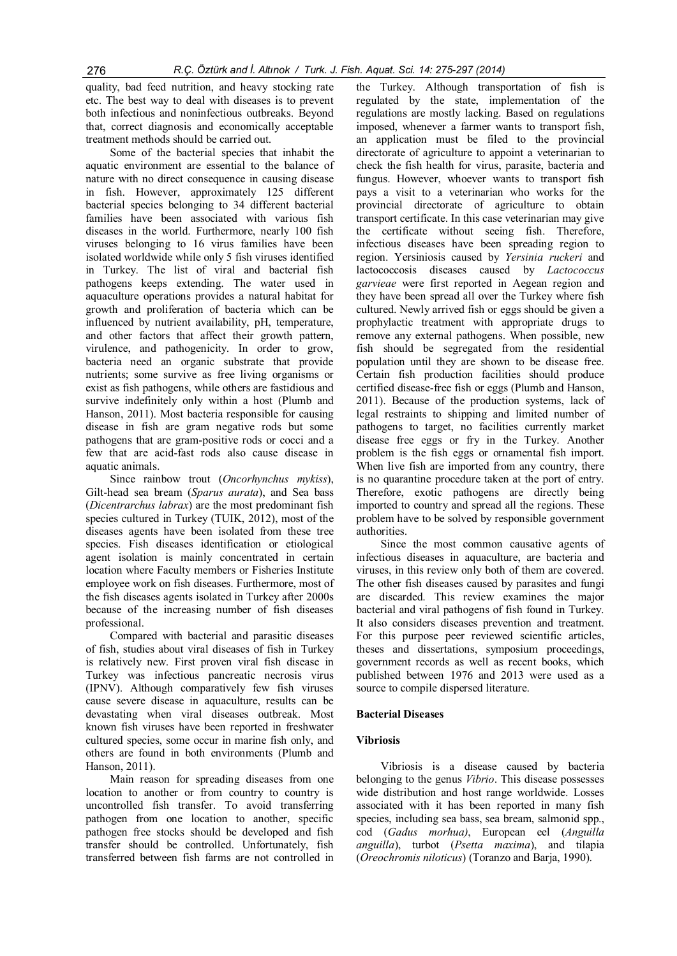quality, bad feed nutrition, and heavy stocking rate etc. The best way to deal with diseases is to prevent both infectious and noninfectious outbreaks. Beyond that, correct diagnosis and economically acceptable treatment methods should be carried out.

Some of the bacterial species that inhabit the aquatic environment are essential to the balance of nature with no direct consequence in causing disease in fish. However, approximately 125 different bacterial species belonging to 34 different bacterial families have been associated with various fish diseases in the world. Furthermore, nearly 100 fish viruses belonging to 16 virus families have been isolated worldwide while only 5 fish viruses identified in Turkey. The list of viral and bacterial fish pathogens keeps extending. The water used in aquaculture operations provides a natural habitat for growth and proliferation of bacteria which can be influenced by nutrient availability, pH, temperature, and other factors that affect their growth pattern, virulence, and pathogenicity. In order to grow, bacteria need an organic substrate that provide nutrients; some survive as free living organisms or exist as fish pathogens, while others are fastidious and survive indefinitely only within a host (Plumb and Hanson, 2011). Most bacteria responsible for causing disease in fish are gram negative rods but some pathogens that are gram-positive rods or cocci and a few that are acid-fast rods also cause disease in aquatic animals.

Since rainbow trout (Oncorhynchus mykiss), Gilt-head sea bream (Sparus aurata), and Sea bass (Dicentrarchus labrax) are the most predominant fish species cultured in Turkey (TUIK, 2012), most of the diseases agents have been isolated from these tree species. Fish diseases identification or etiological agent isolation is mainly concentrated in certain location where Faculty members or Fisheries Institute employee work on fish diseases. Furthermore, most of the fish diseases agents isolated in Turkey after 2000s because of the increasing number of fish diseases professional.

Compared with bacterial and parasitic diseases of fish, studies about viral diseases of fish in Turkey is relatively new. First proven viral fish disease in Turkey was infectious pancreatic necrosis virus (IPNV). Although comparatively few fish viruses cause severe disease in aquaculture, results can be devastating when viral diseases outbreak. Most known fish viruses have been reported in freshwater cultured species, some occur in marine fish only, and others are found in both environments (Plumb and Hanson, 2011).

Main reason for spreading diseases from one location to another or from country to country is uncontrolled fish transfer. To avoid transferring pathogen from one location to another, specific pathogen free stocks should be developed and fish transfer should be controlled. Unfortunately, fish transferred between fish farms are not controlled in

the Turkey. Although transportation of fish is regulated by the state, implementation of the regulations are mostly lacking. Based on regulations imposed, whenever a farmer wants to transport fish, an application must be filed to the provincial directorate of agriculture to appoint a veterinarian to check the fish health for virus, parasite, bacteria and fungus. However, whoever wants to transport fish pays a visit to a veterinarian who works for the provincial directorate of agriculture to obtain transport certificate. In this case veterinarian may give the certificate without seeing fish. Therefore, infectious diseases have been spreading region to region. Yersiniosis caused by Yersinia ruckeri and lactococcosis diseases caused by Lactococcus garvieae were first reported in Aegean region and they have been spread all over the Turkey where fish cultured. Newly arrived fish or eggs should be given a prophylactic treatment with appropriate drugs to remove any external pathogens. When possible, new fish should be segregated from the residential population until they are shown to be disease free. Certain fish production facilities should produce certified disease-free fish or eggs (Plumb and Hanson, 2011). Because of the production systems, lack of legal restraints to shipping and limited number of pathogens to target, no facilities currently market disease free eggs or fry in the Turkey. Another problem is the fish eggs or ornamental fish import. When live fish are imported from any country, there is no quarantine procedure taken at the port of entry. Therefore, exotic pathogens are directly being imported to country and spread all the regions. These problem have to be solved by responsible government authorities.

Since the most common causative agents of infectious diseases in aquaculture, are bacteria and viruses, in this review only both of them are covered. The other fish diseases caused by parasites and fungi are discarded. This review examines the major bacterial and viral pathogens of fish found in Turkey. It also considers diseases prevention and treatment. For this purpose peer reviewed scientific articles, theses and dissertations, symposium proceedings, government records as well as recent books, which published between 1976 and 2013 were used as a source to compile dispersed literature.

## Bacterial Diseases

## Vibriosis

Vibriosis is a disease caused by bacteria belonging to the genus Vibrio. This disease possesses wide distribution and host range worldwide. Losses associated with it has been reported in many fish species, including sea bass, sea bream, salmonid spp., cod (Gadus morhua), European eel (Anguilla anguilla), turbot (Psetta maxima), and tilapia (Oreochromis niloticus) (Toranzo and Barja, 1990).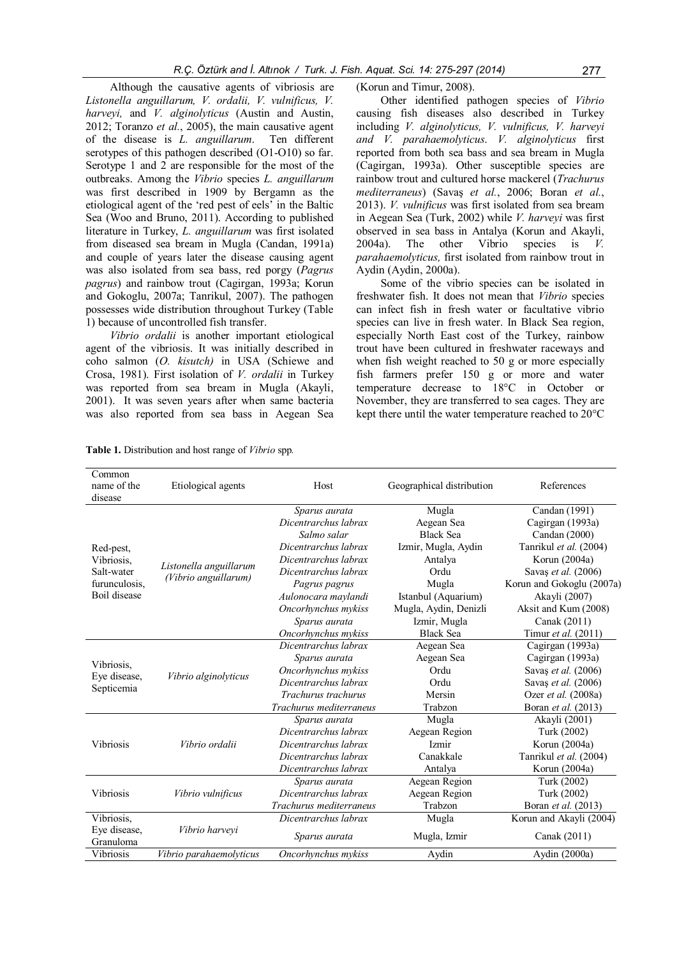Although the causative agents of vibriosis are Listonella anguillarum, V. ordalii, V. vulnificus, V. harveyi, and V. alginolyticus (Austin and Austin, 2012; Toranzo et al., 2005), the main causative agent of the disease is L. anguillarum. Ten different serotypes of this pathogen described (O1-O10) so far. Serotype 1 and 2 are responsible for the most of the outbreaks. Among the Vibrio species L. anguillarum was first described in 1909 by Bergamn as the etiological agent of the 'red pest of eels' in the Baltic Sea (Woo and Bruno, 2011). According to published literature in Turkey, L. anguillarum was first isolated from diseased sea bream in Mugla (Candan, 1991a) and couple of years later the disease causing agent was also isolated from sea bass, red porgy (Pagrus pagrus) and rainbow trout (Cagirgan, 1993a; Korun and Gokoglu, 2007a; Tanrikul, 2007). The pathogen possesses wide distribution throughout Turkey (Table 1) because of uncontrolled fish transfer.

Vibrio ordalii is another important etiological agent of the vibriosis. It was initially described in coho salmon (O. kisutch) in USA (Schiewe and Crosa, 1981). First isolation of V. ordalii in Turkey was reported from sea bream in Mugla (Akayli, 2001). It was seven years after when same bacteria was also reported from sea bass in Aegean Sea

## (Korun and Timur, 2008).

Other identified pathogen species of Vibrio causing fish diseases also described in Turkey including V. alginolyticus, V. vulnificus, V. harveyi and V. parahaemolyticus. V. alginolyticus first reported from both sea bass and sea bream in Mugla (Cagirgan, 1993a). Other susceptible species are rainbow trout and cultured horse mackerel (Trachurus mediterraneus) (Savaş et al., 2006; Boran et al., 2013). V. vulnificus was first isolated from sea bream in Aegean Sea (Turk, 2002) while V. harveyi was first observed in sea bass in Antalya (Korun and Akayli, 2004a). The other Vibrio species is V. parahaemolyticus, first isolated from rainbow trout in Aydin (Aydin, 2000a).

Some of the vibrio species can be isolated in freshwater fish. It does not mean that Vibrio species can infect fish in fresh water or facultative vibrio species can live in fresh water. In Black Sea region, especially North East cost of the Turkey, rainbow trout have been cultured in freshwater raceways and when fish weight reached to 50 g or more especially fish farmers prefer 150 g or more and water temperature decrease to 18°C in October or November, they are transferred to sea cages. They are kept there until the water temperature reached to 20°C

| Common<br>name of the<br>disease | Etiological agents      | Host                    | Geographical distribution | References                |
|----------------------------------|-------------------------|-------------------------|---------------------------|---------------------------|
|                                  |                         | Sparus aurata           | Mugla                     | Candan (1991)             |
|                                  |                         | Dicentrarchus labrax    | Aegean Sea                | Cagirgan (1993a)          |
|                                  |                         | Salmo salar             | <b>Black Sea</b>          | Candan (2000)             |
| Red-pest,                        |                         | Dicentrarchus labrax    | Izmir, Mugla, Aydin       | Tanrikul et al. (2004)    |
| Vibriosis,                       |                         | Dicentrarchus labrax    | Antalya                   | Korun (2004a)             |
| Salt-water                       | Listonella anguillarum  | Dicentrarchus labrax    | Ordu                      | Savaş et al. (2006)       |
| furunculosis,                    | (Vibrio anguillarum)    | Pagrus pagrus           | Mugla                     | Korun and Gokoglu (2007a) |
| Boil disease                     |                         | Aulonocara maylandi     | Istanbul (Aquarium)       | Akayli (2007)             |
|                                  |                         | Oncorhynchus mykiss     | Mugla, Aydin, Denizli     | Aksit and Kum (2008)      |
|                                  |                         | Sparus aurata           | Izmir, Mugla              | Canak (2011)              |
|                                  |                         | Oncorhynchus mykiss     | <b>Black Sea</b>          | Timur et al. (2011)       |
|                                  |                         | Dicentrarchus labrax    | Aegean Sea                | Cagirgan (1993a)          |
|                                  | Vibrio alginolyticus    | Sparus aurata           | Aegean Sea                | Cagirgan (1993a)          |
| Vibriosis.                       |                         | Oncorhynchus mykiss     | Ordu                      | Savaş et al. (2006)       |
| Eye disease,                     |                         | Dicentrarchus labrax    | Ordu                      | Savas et al. (2006)       |
| Septicemia                       |                         | Trachurus trachurus     | Mersin                    | Ozer et al. (2008a)       |
|                                  |                         | Trachurus mediterraneus | Trabzon                   | Boran et al. (2013)       |
|                                  |                         | Sparus aurata           | Mugla                     | Akayli (2001)             |
|                                  |                         | Dicentrarchus labrax    | Aegean Region             | Turk (2002)               |
| <b>Vibriosis</b>                 | Vibrio ordalii          | Dicentrarchus labrax    | Izmir                     | Korun (2004a)             |
|                                  |                         | Dicentrarchus labrax    | Canakkale                 | Tanrikul et al. (2004)    |
|                                  |                         | Dicentrarchus labrax    | Antalya                   | Korun (2004a)             |
|                                  |                         | Sparus aurata           | Aegean Region             | Turk (2002)               |
| <b>Vibriosis</b>                 | Vibrio vulnificus       | Dicentrarchus labrax    | Aegean Region             | Turk (2002)               |
|                                  |                         | Trachurus mediterraneus | Trabzon                   | Boran et al. (2013)       |
| Vibriosis,                       |                         | Dicentrarchus labrax    | Mugla                     | Korun and Akayli (2004)   |
| Eye disease,<br>Granuloma        | Vibrio harveyi          | Sparus aurata           | Mugla, Izmir              | Canak (2011)              |
| Vibriosis                        | Vibrio parahaemolyticus | Oncorhynchus mykiss     | Aydin                     | Aydin (2000a)             |

Table 1. Distribution and host range of *Vibrio* spp.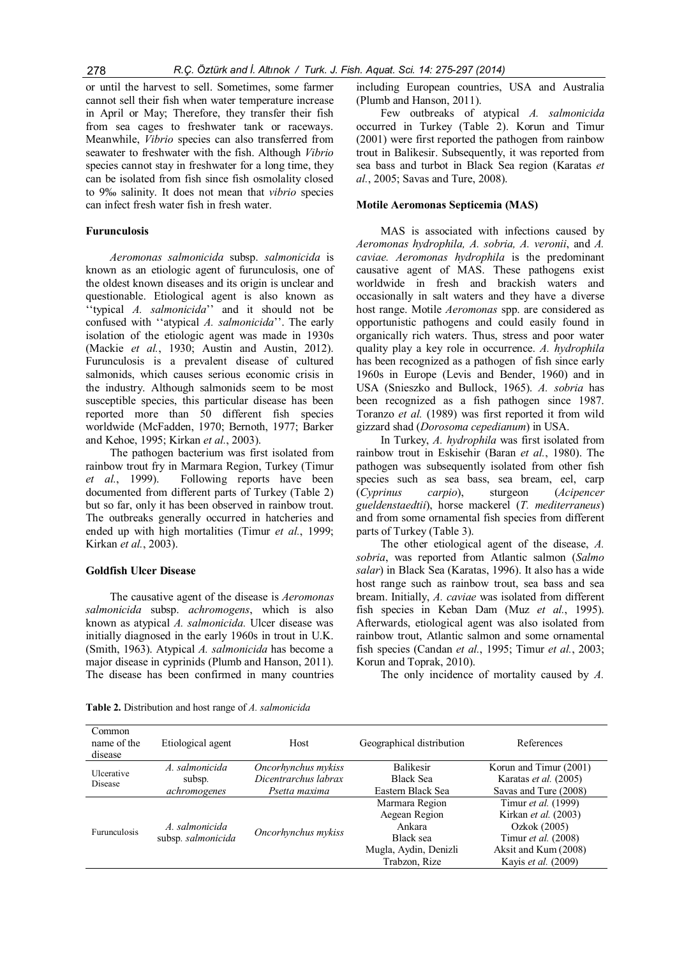or until the harvest to sell. Sometimes, some farmer cannot sell their fish when water temperature increase in April or May; Therefore, they transfer their fish from sea cages to freshwater tank or raceways. Meanwhile, Vibrio species can also transferred from seawater to freshwater with the fish. Although Vibrio species cannot stay in freshwater for a long time, they can be isolated from fish since fish osmolality closed to 9‰ salinity. It does not mean that vibrio species can infect fresh water fish in fresh water.

## Furunculosis

Aeromonas salmonicida subsp. salmonicida is known as an etiologic agent of furunculosis, one of the oldest known diseases and its origin is unclear and questionable. Etiological agent is also known as ''typical A. salmonicida'' and it should not be confused with ''atypical A. salmonicida''. The early isolation of the etiologic agent was made in 1930s (Mackie et al., 1930; Austin and Austin, 2012). Furunculosis is a prevalent disease of cultured salmonids, which causes serious economic crisis in the industry. Although salmonids seem to be most susceptible species, this particular disease has been reported more than 50 different fish species worldwide (McFadden, 1970; Bernoth, 1977; Barker and Kehoe, 1995; Kirkan et al., 2003).

The pathogen bacterium was first isolated from rainbow trout fry in Marmara Region, Turkey (Timur et al., 1999). Following reports have been documented from different parts of Turkey (Table 2) but so far, only it has been observed in rainbow trout. The outbreaks generally occurred in hatcheries and ended up with high mortalities (Timur *et al.*, 1999; Kirkan et al., 2003).

#### Goldfish Ulcer Disease

The causative agent of the disease is Aeromonas salmonicida subsp. achromogens, which is also known as atypical A. salmonicida. Ulcer disease was initially diagnosed in the early 1960s in trout in U.K. (Smith, 1963). Atypical A. salmonicida has become a major disease in cyprinids (Plumb and Hanson, 2011). The disease has been confirmed in many countries

including European countries, USA and Australia (Plumb and Hanson, 2011).

Few outbreaks of atypical A. salmonicida occurred in Turkey (Table 2). Korun and Timur (2001) were first reported the pathogen from rainbow trout in Balikesir. Subsequently, it was reported from sea bass and turbot in Black Sea region (Karatas et al., 2005; Savas and Ture, 2008).

#### Motile Aeromonas Septicemia (MAS)

MAS is associated with infections caused by Aeromonas hydrophila, A. sobria, A. veronii, and A. caviae. Aeromonas hydrophila is the predominant causative agent of MAS. These pathogens exist worldwide in fresh and brackish waters and occasionally in salt waters and they have a diverse host range. Motile Aeromonas spp. are considered as opportunistic pathogens and could easily found in organically rich waters. Thus, stress and poor water quality play a key role in occurrence. A. hydrophila has been recognized as a pathogen of fish since early 1960s in Europe (Levis and Bender, 1960) and in USA (Snieszko and Bullock, 1965). A. sobria has been recognized as a fish pathogen since 1987. Toranzo et al. (1989) was first reported it from wild gizzard shad (Dorosoma cepedianum) in USA.

In Turkey, A. hydrophila was first isolated from rainbow trout in Eskisehir (Baran et al., 1980). The pathogen was subsequently isolated from other fish species such as sea bass, sea bream, eel, carp (Cyprinus carpio), sturgeon (Acipencer gueldenstaedtii), horse mackerel (T. mediterraneus) and from some ornamental fish species from different parts of Turkey (Table 3).

The other etiological agent of the disease, A. sobria, was reported from Atlantic salmon (Salmo salar) in Black Sea (Karatas, 1996). It also has a wide host range such as rainbow trout, sea bass and sea bream. Initially, A. caviae was isolated from different fish species in Keban Dam (Muz et al., 1995). Afterwards, etiological agent was also isolated from rainbow trout, Atlantic salmon and some ornamental fish species (Candan et al., 1995; Timur et al., 2003; Korun and Toprak, 2010).

The only incidence of mortality caused by A.

| Common<br>name of the<br>disease | Etiological agent                        | Host                                                         | Geographical distribution                                                                        | References                                                                                                                        |
|----------------------------------|------------------------------------------|--------------------------------------------------------------|--------------------------------------------------------------------------------------------------|-----------------------------------------------------------------------------------------------------------------------------------|
| <b>Ulcerative</b><br>Disease     | A. salmonicida<br>subsp.<br>achromogenes | Oncorhynchus mykiss<br>Dicentrarchus labrax<br>Psetta maxima | <b>Balikesir</b><br><b>Black Sea</b><br>Eastern Black Sea                                        | Korun and Timur (2001)<br>Karatas et al. (2005)<br>Savas and Ture (2008)                                                          |
| Furunculosis                     | A. salmonicida<br>subsp. salmonicida     | Oncorhynchus mykiss                                          | Marmara Region<br>Aegean Region<br>Ankara<br>Black sea<br>Mugla, Aydin, Denizli<br>Trabzon, Rize | Timur et al. (1999)<br>Kirkan et al. (2003)<br>Ozkok (2005)<br>Timur et al. (2008)<br>Aksit and Kum (2008)<br>Kayis et al. (2009) |

Table 2. Distribution and host range of A. salmonicida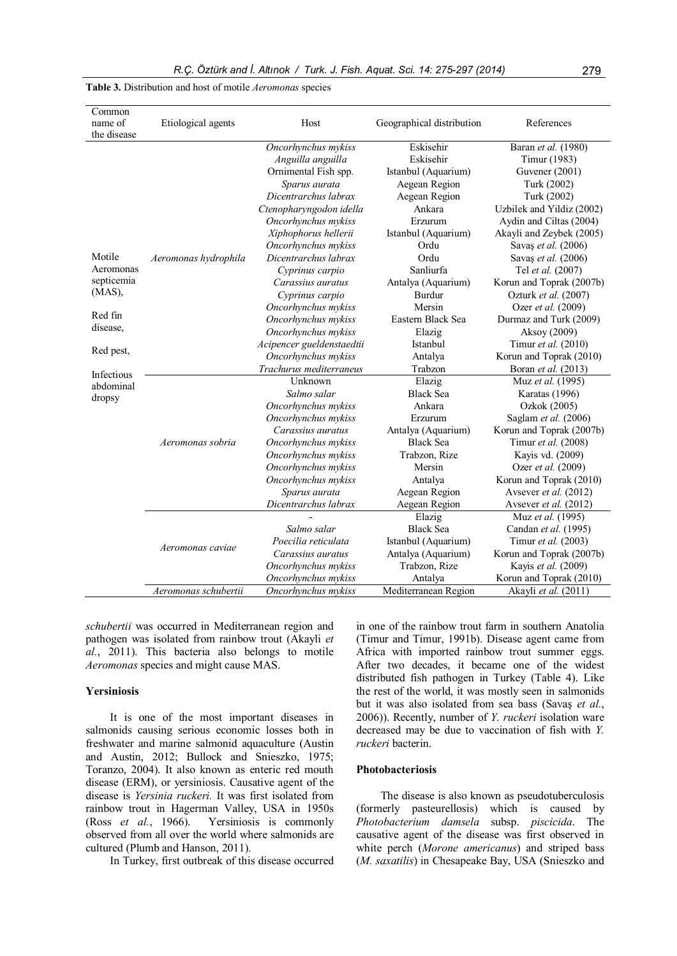| Common<br>name of<br>the disease                                                       | Etiological agents                       | Host                                                                                                                                                                                                                               | Geographical distribution                                                                                                                                         | References                                                                                                                                                                                                                                            |
|----------------------------------------------------------------------------------------|------------------------------------------|------------------------------------------------------------------------------------------------------------------------------------------------------------------------------------------------------------------------------------|-------------------------------------------------------------------------------------------------------------------------------------------------------------------|-------------------------------------------------------------------------------------------------------------------------------------------------------------------------------------------------------------------------------------------------------|
| Motile                                                                                 | Aeromonas hydrophila                     | Oncorhynchus mykiss<br>Anguilla anguilla<br>Ornimental Fish spp.<br>Sparus aurata<br>Dicentrarchus labrax<br>Ctenopharyngodon idella<br>Oncorhynchus mykiss<br>Xiphophorus hellerii<br>Oncorhynchus mykiss<br>Dicentrarchus labrax | Eskisehir<br>Eskisehir<br>Istanbul (Aquarium)<br>Aegean Region<br>Aegean Region<br>Ankara<br>Erzurum<br>Istanbul (Aquarium)<br>Ordu<br>Ordu                       | Baran et al. (1980)<br>Timur (1983)<br>Guvener (2001)<br>Turk (2002)<br>Turk (2002)<br>Uzbilek and Yildiz (2002)<br>Aydin and Ciltas (2004)<br>Akayli and Zeybek (2005)<br>Savaş et al. (2006)<br>Savaş et al. (2006)                                 |
| Aeromonas<br>septicemia<br>$(MAS)$ ,<br>Red fin<br>disease,<br>Red pest,<br>Infectious |                                          | Cyprinus carpio<br>Carassius auratus<br>Cyprinus carpio<br>Oncorhynchus mykiss<br>Oncorhynchus mykiss<br>Oncorhynchus mykiss<br>Acipencer gueldenstaedtii<br>Oncorhynchus mykiss<br>Trachurus mediterraneus                        | Sanliurfa<br>Antalya (Aquarium)<br>Burdur<br>Mersin<br>Eastern Black Sea<br>Elazig<br>Istanbul<br>Antalya<br>Trabzon                                              | Tel et al. (2007)<br>Korun and Toprak (2007b)<br>Ozturk et al. (2007)<br>Ozer et al. (2009)<br>Durmaz and Turk (2009)<br>Aksoy (2009)<br>Timur et al. (2010)<br>Korun and Toprak (2010)<br>Boran et al. (2013)                                        |
| abdominal<br>dropsy                                                                    | Aeromonas sobria                         | Unknown<br>Salmo salar<br>Oncorhynchus mykiss<br>Oncorhynchus mykiss<br>Carassius auratus<br>Oncorhynchus mykiss<br>Oncorhynchus mykiss<br>Oncorhynchus mykiss<br>Oncorhynchus mykiss<br>Sparus aurata<br>Dicentrarchus labrax     | Elazig<br><b>Black Sea</b><br>Ankara<br>Erzurum<br>Antalya (Aquarium)<br><b>Black Sea</b><br>Trabzon, Rize<br>Mersin<br>Antalya<br>Aegean Region<br>Aegean Region | Muz et al. (1995)<br>Karatas (1996)<br>Ozkok (2005)<br>Saglam et al. (2006)<br>Korun and Toprak (2007b)<br>Timur et al. (2008)<br>Kayis vd. (2009)<br>Ozer et al. (2009)<br>Korun and Toprak (2010)<br>Aysever et al. (2012)<br>Avsever et al. (2012) |
|                                                                                        | Aeromonas caviae<br>Aeromonas schubertii | Salmo salar<br>Poecilia reticulata<br>Carassius auratus<br>Oncorhynchus mykiss<br>Oncorhynchus mykiss<br>Oncorhynchus mykiss                                                                                                       | Elazig<br><b>Black Sea</b><br>Istanbul (Aquarium)<br>Antalya (Aquarium)<br>Trabzon, Rize<br>Antalya<br>Mediterranean Region                                       | Muz et al. (1995)<br>Candan et al. (1995)<br>Timur et al. (2003)<br>Korun and Toprak (2007b)<br>Kayis et al. (2009)<br>Korun and Toprak (2010)<br>Akayli et al. (2011)                                                                                |

Table 3. Distribution and host of motile Aeromonas species

schubertii was occurred in Mediterranean region and pathogen was isolated from rainbow trout (Akayli et al., 2011). This bacteria also belongs to motile Aeromonas species and might cause MAS.

## Yersiniosis

It is one of the most important diseases in salmonids causing serious economic losses both in freshwater and marine salmonid aquaculture (Austin and Austin, 2012; Bullock and Snieszko, 1975; Toranzo, 2004). It also known as enteric red mouth disease (ERM), or yersiniosis. Causative agent of the disease is Yersinia ruckeri. It was first isolated from rainbow trout in Hagerman Valley, USA in 1950s (Ross et al., 1966). Yersiniosis is commonly observed from all over the world where salmonids are cultured (Plumb and Hanson, 2011).

In Turkey, first outbreak of this disease occurred

in one of the rainbow trout farm in southern Anatolia (Timur and Timur, 1991b). Disease agent came from Africa with imported rainbow trout summer eggs. After two decades, it became one of the widest distributed fish pathogen in Turkey (Table 4). Like the rest of the world, it was mostly seen in salmonids but it was also isolated from sea bass (Savaş et al., 2006)). Recently, number of Y. ruckeri isolation ware decreased may be due to vaccination of fish with Y. ruckeri bacterin.

#### Photobacteriosis

The disease is also known as pseudotuberculosis (formerly pasteurellosis) which is caused by Photobacterium damsela subsp. piscicida. The causative agent of the disease was first observed in white perch (Morone americanus) and striped bass (M. saxatilis) in Chesapeake Bay, USA (Snieszko and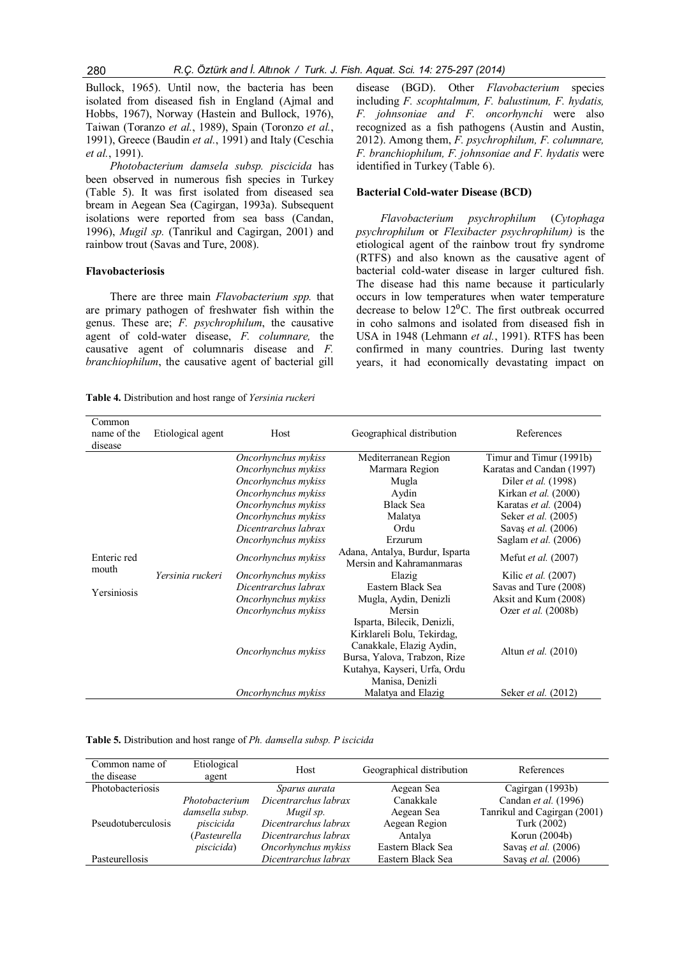Bullock, 1965). Until now, the bacteria has been isolated from diseased fish in England (Ajmal and Hobbs, 1967), Norway (Hastein and Bullock, 1976), Taiwan (Toranzo et al., 1989), Spain (Toronzo et al., 1991), Greece (Baudin et al., 1991) and Italy (Ceschia et al., 1991).

Photobacterium damsela subsp. piscicida has been observed in numerous fish species in Turkey (Table 5). It was first isolated from diseased sea bream in Aegean Sea (Cagirgan, 1993a). Subsequent isolations were reported from sea bass (Candan, 1996), Mugil sp. (Tanrikul and Cagirgan, 2001) and rainbow trout (Savas and Ture, 2008).

## Flavobacteriosis

There are three main *Flavobacterium spp*. that are primary pathogen of freshwater fish within the genus. These are; F. psychrophilum, the causative agent of cold-water disease, F. columnare, the causative agent of columnaris disease and F. branchiophilum, the causative agent of bacterial gill

Table 4. Distribution and host range of Yersinia ruckeri

disease (BGD). Other Flavobacterium species including F. scophtalmum, F. balustinum, F. hydatis, F. johnsoniae and F. oncorhynchi were also recognized as a fish pathogens (Austin and Austin, 2012). Among them, F. psychrophilum, F. columnare, F. branchiophilum, F. johnsoniae and F. hydatis were identified in Turkey (Table 6).

## Bacterial Cold-water Disease (BCD)

Flavobacterium psychrophilum (Cytophaga psychrophilum or Flexibacter psychrophilum) is the etiological agent of the rainbow trout fry syndrome (RTFS) and also known as the causative agent of bacterial cold-water disease in larger cultured fish. The disease had this name because it particularly occurs in low temperatures when water temperature decrease to below  $12^{0}$ C. The first outbreak occurred in coho salmons and isolated from diseased fish in USA in 1948 (Lehmann et al., 1991). RTFS has been confirmed in many countries. During last twenty years, it had economically devastating impact on

| Common<br>name of the<br>disease    | Etiological agent | Host                                                                                                                                                                                                                                                                                                                             | Geographical distribution                                                                                                                                                                                                                                                                                                                                                                                              | References                                                                                                                                                                                                                                                                                                                                                                                |
|-------------------------------------|-------------------|----------------------------------------------------------------------------------------------------------------------------------------------------------------------------------------------------------------------------------------------------------------------------------------------------------------------------------|------------------------------------------------------------------------------------------------------------------------------------------------------------------------------------------------------------------------------------------------------------------------------------------------------------------------------------------------------------------------------------------------------------------------|-------------------------------------------------------------------------------------------------------------------------------------------------------------------------------------------------------------------------------------------------------------------------------------------------------------------------------------------------------------------------------------------|
| Enteric red<br>mouth<br>Yersiniosis | Yersinia ruckeri  | Oncorhynchus mykiss<br>Oncorhynchus mykiss<br>Oncorhynchus mykiss<br>Oncorhynchus mykiss<br>Oncorhynchus mykiss<br>Oncorhynchus mykiss<br>Dicentrarchus labrax<br>Oncorhynchus mykiss<br>Oncorhynchus mykiss<br>Oncorhynchus mykiss<br>Dicentrarchus labrax<br>Oncorhynchus mykiss<br>Oncorhynchus mykiss<br>Oncorhynchus mykiss | Mediterranean Region<br>Marmara Region<br>Mugla<br>Aydin<br><b>Black Sea</b><br>Malatya<br>Ordu<br>Erzurum<br>Adana, Antalya, Burdur, Isparta<br>Mersin and Kahramanmaras<br>Elazig<br>Eastern Black Sea<br>Mugla, Aydin, Denizli<br>Mersin<br>Isparta, Bilecik, Denizli,<br>Kirklareli Bolu, Tekirdag,<br>Canakkale, Elazig Aydin,<br>Bursa, Yalova, Trabzon, Rize<br>Kutahya, Kayseri, Urfa, Ordu<br>Manisa, Denizli | Timur and Timur (1991b)<br>Karatas and Candan (1997)<br>Diler <i>et al.</i> (1998)<br>Kirkan et al. (2000)<br>Karatas et al. (2004)<br>Seker <i>et al.</i> (2005)<br>Savas et al. (2006)<br>Saglam <i>et al.</i> (2006)<br>Mefut et al. (2007)<br>Kilic <i>et al.</i> (2007)<br>Savas and Ture (2008)<br>Aksit and Kum (2008)<br>Ozer <i>et al.</i> (2008b)<br>Altun <i>et al.</i> (2010) |
|                                     |                   | Oncorhynchus mykiss                                                                                                                                                                                                                                                                                                              | Malatya and Elazig                                                                                                                                                                                                                                                                                                                                                                                                     | Seker <i>et al.</i> (2012)                                                                                                                                                                                                                                                                                                                                                                |

#### Table 5. Distribution and host range of Ph. damsella subsp. P iscicida

| Common name of     | Etiological        | Host                 | Geographical distribution | References                   |  |
|--------------------|--------------------|----------------------|---------------------------|------------------------------|--|
| the disease        | agent              |                      |                           |                              |  |
| Photobacteriosis   |                    | Sparus aurata        | Aegean Sea                | Cagirgan (1993b)             |  |
|                    | Photobacterium     | Dicentrarchus labrax | Canakkale                 | Candan et al. (1996)         |  |
|                    | damsella subsp.    | Mugil sp.            | Aegean Sea                | Tanrikul and Cagirgan (2001) |  |
| Pseudotuberculosis | piscicida          | Dicentrarchus labrax | Aegean Region             | Turk (2002)                  |  |
|                    | (Pasteurella       | Dicentrarchus labrax | Antalya                   | Korun $(2004b)$              |  |
|                    | <i>piscicida</i> ) | Oncorhynchus mykiss  | Eastern Black Sea         | Savaş et al. (2006)          |  |
| Pasteurellosis     |                    | Dicentrarchus labrax | Eastern Black Sea         | Savaş et al. (2006)          |  |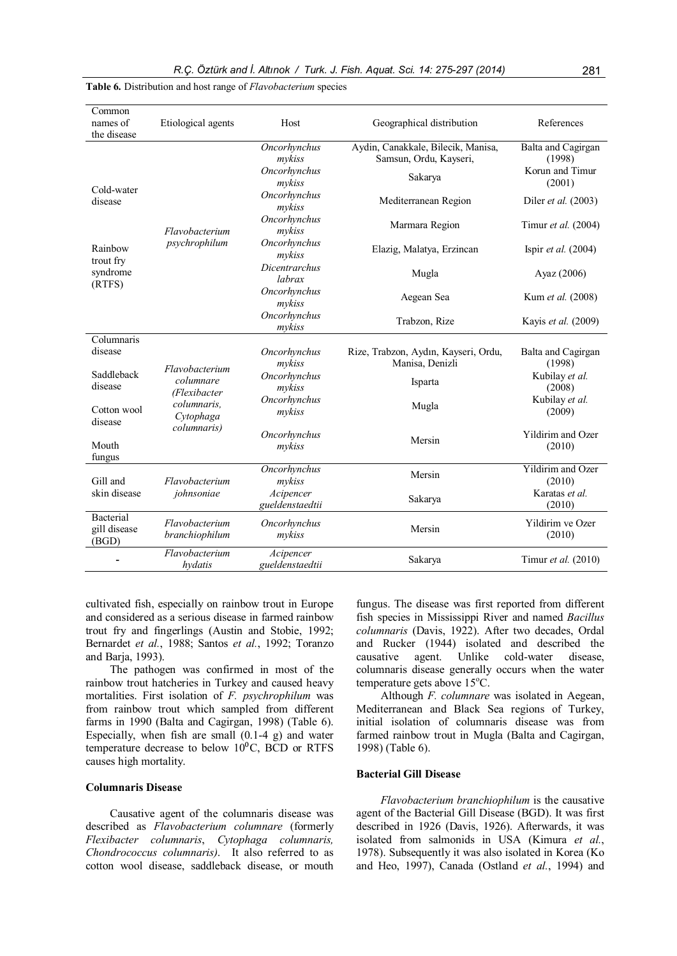| Common<br>names of<br>the disease  | Etiological agents                          | Host                                             | Geographical distribution                                               | References                                                |
|------------------------------------|---------------------------------------------|--------------------------------------------------|-------------------------------------------------------------------------|-----------------------------------------------------------|
|                                    |                                             | Oncorhynchus<br>mykiss<br>Oncorhynchus<br>mykiss | Aydin, Canakkale, Bilecik, Manisa,<br>Samsun, Ordu, Kayseri,<br>Sakarya | Balta and Cagirgan<br>(1998)<br>Korun and Timur<br>(2001) |
| Cold-water<br>disease              |                                             | Oncorhynchus<br>mykiss                           | Mediterranean Region                                                    | Diler <i>et al.</i> (2003)                                |
|                                    | Flavobacterium                              | Oncorhynchus<br>mykiss                           | Marmara Region                                                          | Timur et al. (2004)                                       |
| Rainbow<br>trout fry               | psychrophilum                               | Oncorhynchus<br>mykiss                           | Elazig, Malatya, Erzincan                                               | Ispir et al. (2004)                                       |
| syndrome<br>(RTFS)                 |                                             | <b>Dicentrarchus</b><br>labrax                   | Mugla                                                                   | Ayaz (2006)                                               |
|                                    |                                             | Oncorhynchus<br>mykiss                           | Aegean Sea                                                              | Kum et al. (2008)                                         |
|                                    |                                             | Oncorhynchus<br>Trabzon, Rize<br>mykiss          |                                                                         | Kayis et al. (2009)                                       |
| Columnaris<br>disease              |                                             | Oncorhynchus                                     | Rize, Trabzon, Aydın, Kayseri, Ordu,<br>Manisa, Denizli                 | Balta and Cagirgan                                        |
| Saddleback<br>disease              | Flavobacterium<br>columnare<br>(Flexibacter | mykiss<br>Oncorhynchus<br>mykiss                 | Isparta                                                                 | (1998)<br>Kubilay et al.<br>(2008)                        |
| Cotton wool<br>disease             | columnaris.<br>Cytophaga                    | Oncorhynchus<br>mykiss                           | Mugla                                                                   | Kubilay et al.<br>(2009)                                  |
| Mouth<br>fungus                    | columnaris)<br>Oncorhynchus<br>mykiss       |                                                  | Mersin                                                                  | Yildirim and Ozer<br>(2010)                               |
| Gill and                           | Flavobacterium                              | Oncorhynchus<br>mykiss                           | Mersin                                                                  | <b>Yildirim</b> and Ozer<br>(2010)                        |
| skin disease                       | johnsoniae                                  | Acipencer<br>gueldenstaedtii                     | Sakarya                                                                 | Karatas et al.<br>(2010)                                  |
| Bacterial<br>gill disease<br>(BGD) | Flavobacterium<br>branchiophilum            | Oncorhynchus<br>mykiss                           | Mersin                                                                  | Yildirim ve Ozer<br>(2010)                                |
|                                    | Flavobacterium<br>hydatis                   | Acipencer<br>gueldenstaedtii                     | Sakarya                                                                 | Timur et al. (2010)                                       |

Table 6. Distribution and host range of *Flavobacterium* species

cultivated fish, especially on rainbow trout in Europe and considered as a serious disease in farmed rainbow trout fry and fingerlings (Austin and Stobie, 1992; Bernardet et al., 1988; Santos et al., 1992; Toranzo and Barja, 1993).

The pathogen was confirmed in most of the rainbow trout hatcheries in Turkey and caused heavy mortalities. First isolation of F. psychrophilum was from rainbow trout which sampled from different farms in 1990 (Balta and Cagirgan, 1998) (Table 6). Especially, when fish are small (0.1-4 g) and water temperature decrease to below  $10^{0}$ C, BCD or RTFS causes high mortality.

## Columnaris Disease

Causative agent of the columnaris disease was described as Flavobacterium columnare (formerly Flexibacter columnaris, Cytophaga columnaris, Chondrococcus columnaris). It also referred to as cotton wool disease, saddleback disease, or mouth fungus. The disease was first reported from different fish species in Mississippi River and named Bacillus columnaris (Davis, 1922). After two decades, Ordal and Rucker (1944) isolated and described the causative agent. Unlike cold-water disease, columnaris disease generally occurs when the water temperature gets above 15°C.

Although F. columnare was isolated in Aegean, Mediterranean and Black Sea regions of Turkey, initial isolation of columnaris disease was from farmed rainbow trout in Mugla (Balta and Cagirgan, 1998) (Table 6).

#### Bacterial Gill Disease

Flavobacterium branchiophilum is the causative agent of the Bacterial Gill Disease (BGD). It was first described in 1926 (Davis, 1926). Afterwards, it was isolated from salmonids in USA (Kimura et al., 1978). Subsequently it was also isolated in Korea (Ko and Heo, 1997), Canada (Ostland et al., 1994) and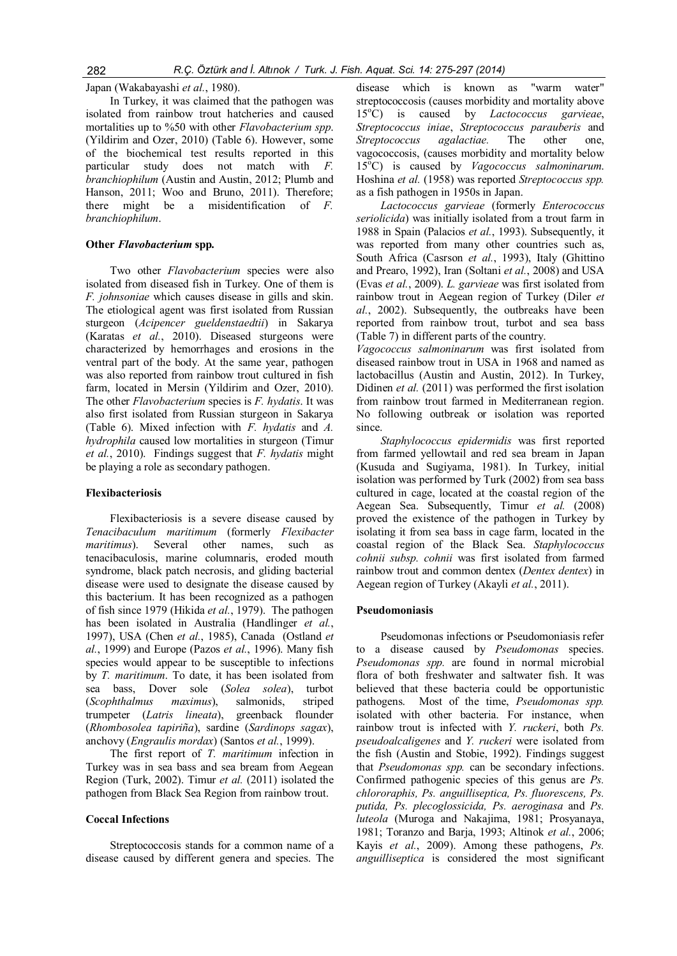Japan (Wakabayashi et al., 1980).

In Turkey, it was claimed that the pathogen was isolated from rainbow trout hatcheries and caused mortalities up to %50 with other *Flavobacterium spp*. (Yildirim and Ozer, 2010) (Table 6). However, some of the biochemical test results reported in this particular study does not match with F. branchiophilum (Austin and Austin, 2012; Plumb and Hanson, 2011; Woo and Bruno, 2011). Therefore; there might be a misidentification of F. branchiophilum.

## Other Flavobacterium spp.

Two other *Flavobacterium* species were also isolated from diseased fish in Turkey. One of them is F. johnsoniae which causes disease in gills and skin. The etiological agent was first isolated from Russian sturgeon (Acipencer gueldenstaedtii) in Sakarya (Karatas et al., 2010). Diseased sturgeons were characterized by hemorrhages and erosions in the ventral part of the body. At the same year, pathogen was also reported from rainbow trout cultured in fish farm, located in Mersin (Yildirim and Ozer, 2010). The other *Flavobacterium* species is *F. hydatis*. It was also first isolated from Russian sturgeon in Sakarya (Table 6). Mixed infection with F. hydatis and A. hydrophila caused low mortalities in sturgeon (Timur et al., 2010). Findings suggest that  $F$ . hydatis might be playing a role as secondary pathogen.

#### Flexibacteriosis

Flexibacteriosis is a severe disease caused by Tenacibaculum maritimum (formerly Flexibacter maritimus). Several other names, such as tenacibaculosis, marine columnaris, eroded mouth syndrome, black patch necrosis, and gliding bacterial disease were used to designate the disease caused by this bacterium. It has been recognized as a pathogen of fish since 1979 (Hikida et al., 1979). The pathogen has been isolated in Australia (Handlinger et al., 1997), USA (Chen et al., 1985), Canada (Ostland et  $al., 1999$ ) and Europe (Pazos et  $al., 1996$ ). Many fish species would appear to be susceptible to infections by T. maritimum. To date, it has been isolated from sea bass, Dover sole (Solea solea), turbot (Scophthalmus maximus), salmonids, striped trumpeter (Latris lineata), greenback flounder (Rhombosolea tapiriña), sardine (Sardinops sagax), anchovy (Engraulis mordax) (Santos et al., 1999).

The first report of T. maritimum infection in Turkey was in sea bass and sea bream from Aegean Region (Turk, 2002). Timur et al. (2011) isolated the pathogen from Black Sea Region from rainbow trout.

#### Coccal Infections

Streptococcosis stands for a common name of a disease caused by different genera and species. The

disease which is known as "warm water" streptococcosis (causes morbidity and mortality above 15°C) is caused by Lactococcus garvieae, Streptococcus iniae, Streptococcus parauberis and Streptococcus agalactiae. The other one, vagococcosis, (causes morbidity and mortality below  $15^{\circ}$ C) is caused by *Vagococcus salmoninarum*. Hoshina et al. (1958) was reported Streptococcus spp. as a fish pathogen in 1950s in Japan.

Lactococcus garvieae (formerly Enterococcus seriolicida) was initially isolated from a trout farm in 1988 in Spain (Palacios et al., 1993). Subsequently, it was reported from many other countries such as, South Africa (Casrson et al., 1993), Italy (Ghittino and Prearo, 1992), Iran (Soltani et al., 2008) and USA (Evas et al., 2009). L. garvieae was first isolated from rainbow trout in Aegean region of Turkey (Diler et al., 2002). Subsequently, the outbreaks have been reported from rainbow trout, turbot and sea bass (Table 7) in different parts of the country.

Vagococcus salmoninarum was first isolated from diseased rainbow trout in USA in 1968 and named as lactobacillus (Austin and Austin, 2012). In Turkey, Didinen et al. (2011) was performed the first isolation from rainbow trout farmed in Mediterranean region. No following outbreak or isolation was reported since.

Staphylococcus epidermidis was first reported from farmed yellowtail and red sea bream in Japan (Kusuda and Sugiyama, 1981). In Turkey, initial isolation was performed by Turk (2002) from sea bass cultured in cage, located at the coastal region of the Aegean Sea. Subsequently, Timur et al. (2008) proved the existence of the pathogen in Turkey by isolating it from sea bass in cage farm, located in the coastal region of the Black Sea. Staphylococcus cohnii subsp. cohnii was first isolated from farmed rainbow trout and common dentex (Dentex dentex) in Aegean region of Turkey (Akayli et al., 2011).

#### Pseudomoniasis

Pseudomonas infections or Pseudomoniasis refer to a disease caused by Pseudomonas species. Pseudomonas spp. are found in normal microbial flora of both freshwater and saltwater fish. It was believed that these bacteria could be opportunistic pathogens. Most of the time, Pseudomonas spp. isolated with other bacteria. For instance, when rainbow trout is infected with Y. ruckeri, both Ps. pseudoalcaligenes and Y. ruckeri were isolated from the fish (Austin and Stobie, 1992). Findings suggest that Pseudomonas spp. can be secondary infections. Confirmed pathogenic species of this genus are Ps. chlororaphis, Ps. anguilliseptica, Ps. fluorescens, Ps. putida, Ps. plecoglossicida, Ps. aeroginasa and Ps. luteola (Muroga and Nakajima, 1981; Prosyanaya, 1981; Toranzo and Barja, 1993; Altinok et al., 2006; Kayis et al., 2009). Among these pathogens, Ps. anguilliseptica is considered the most significant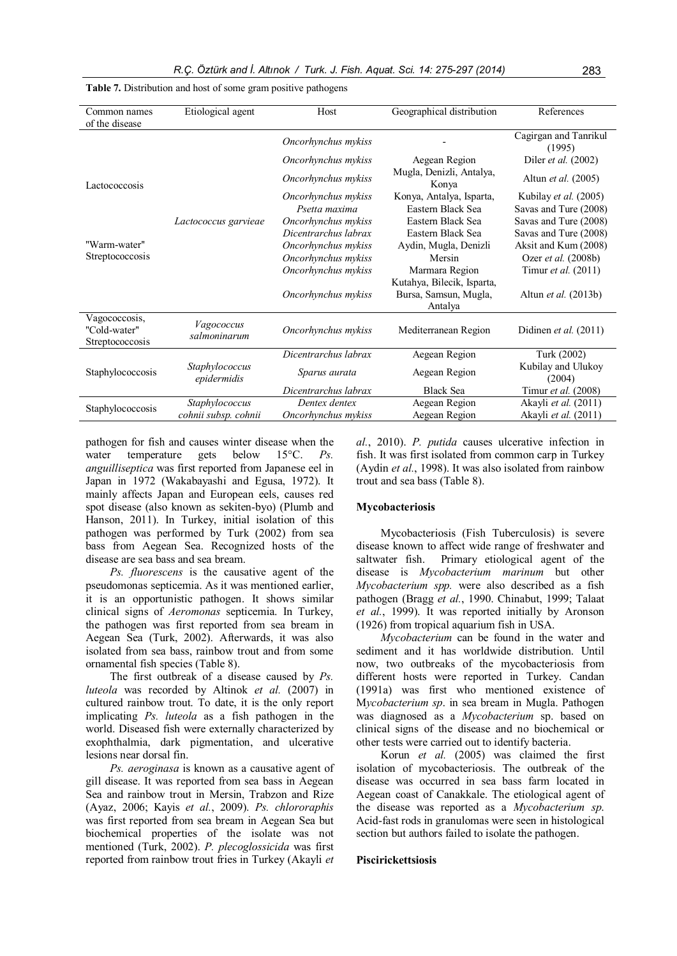| Common names<br>of the disease                   | Etiological agent             | Host                 | Geographical distribution                                      | References                      |
|--------------------------------------------------|-------------------------------|----------------------|----------------------------------------------------------------|---------------------------------|
|                                                  |                               | Oncorhynchus mykiss  |                                                                | Cagirgan and Tanrikul<br>(1995) |
|                                                  |                               | Oncorhynchus mykiss  | Aegean Region                                                  | Diler et al. (2002)             |
| Lactococcosis                                    |                               | Oncorhynchus mykiss  | Mugla, Denizli, Antalya,<br>Konya                              | Altun et al. (2005)             |
|                                                  |                               | Oncorhynchus mykiss  | Konya, Antalya, Isparta,                                       | Kubilay et al. (2005)           |
|                                                  |                               | Psetta maxima        | Eastern Black Sea                                              | Savas and Ture (2008)           |
|                                                  | Lactococcus garvieae          | Oncorhynchus mykiss  | Eastern Black Sea                                              | Savas and Ture (2008)           |
|                                                  |                               | Dicentrarchus labrax | Eastern Black Sea                                              | Savas and Ture (2008)           |
| "Warm-water"                                     |                               | Oncorhynchus mykiss  | Aydin, Mugla, Denizli                                          | Aksit and Kum (2008)            |
| Streptococcosis                                  |                               | Oncorhynchus mykiss  | Mersin                                                         | Ozer et al. (2008b)             |
|                                                  |                               | Oncorhynchus mykiss  | Marmara Region                                                 | Timur et al. (2011)             |
|                                                  |                               | Oncorhynchus mykiss  | Kutahya, Bilecik, Isparta,<br>Bursa, Samsun, Mugla,<br>Antalya | Altun <i>et al.</i> (2013b)     |
| Vagococcosis,<br>"Cold-water"<br>Streptococcosis | Vagococcus<br>salmoninarum    | Oncorhynchus mykiss  | Mediterranean Region                                           | Didinen et al. $(2011)$         |
|                                                  |                               | Dicentrarchus labrax | Aegean Region                                                  | Turk (2002)                     |
| Staphylococcosis                                 | Staphylococcus<br>epidermidis | Sparus aurata        | Aegean Region                                                  | Kubilay and Ulukoy<br>(2004)    |
|                                                  |                               | Dicentrarchus labrax | <b>Black Sea</b>                                               | Timur et al. (2008)             |
| Staphylococcosis                                 | Staphylococcus                | Dentex dentex        | Aegean Region                                                  | Akayli et al. (2011)            |
|                                                  | cohnii subsp. cohnii          | Oncorhynchus mykiss  | Aegean Region                                                  | Akayli et al. (2011)            |
|                                                  |                               |                      |                                                                |                                 |

#### Table 7. Distribution and host of some gram positive pathogens

pathogen for fish and causes winter disease when the water temperature gets below 15<sup>o</sup>C. *Ps.* anguilliseptica was first reported from Japanese eel in Japan in 1972 (Wakabayashi and Egusa, 1972). It mainly affects Japan and European eels, causes red spot disease (also known as sekiten-byo) (Plumb and Hanson, 2011). In Turkey, initial isolation of this pathogen was performed by Turk (2002) from sea bass from Aegean Sea. Recognized hosts of the disease are sea bass and sea bream.

Ps. fluorescens is the causative agent of the pseudomonas septicemia. As it was mentioned earlier, it is an opportunistic pathogen. It shows similar clinical signs of Aeromonas septicemia. In Turkey, the pathogen was first reported from sea bream in Aegean Sea (Turk, 2002). Afterwards, it was also isolated from sea bass, rainbow trout and from some ornamental fish species (Table 8).

The first outbreak of a disease caused by Ps. luteola was recorded by Altinok et al. (2007) in cultured rainbow trout. To date, it is the only report implicating Ps. luteola as a fish pathogen in the world. Diseased fish were externally characterized by exophthalmia, dark pigmentation, and ulcerative lesions near dorsal fin.

Ps. aeroginasa is known as a causative agent of gill disease. It was reported from sea bass in Aegean Sea and rainbow trout in Mersin, Trabzon and Rize (Ayaz, 2006; Kayis et al., 2009). Ps. chlororaphis was first reported from sea bream in Aegean Sea but biochemical properties of the isolate was not mentioned (Turk, 2002). P. plecoglossicida was first reported from rainbow trout fries in Turkey (Akayli et

al., 2010). P. putida causes ulcerative infection in fish. It was first isolated from common carp in Turkey (Aydin et al., 1998). It was also isolated from rainbow trout and sea bass (Table 8).

#### Mycobacteriosis

Mycobacteriosis (Fish Tuberculosis) is severe disease known to affect wide range of freshwater and saltwater fish. Primary etiological agent of the disease is Mycobacterium marinum but other Mycobacterium spp. were also described as a fish pathogen (Bragg et al., 1990. Chinabut, 1999; Talaat et al., 1999). It was reported initially by Aronson (1926) from tropical aquarium fish in USA.

Mycobacterium can be found in the water and sediment and it has worldwide distribution. Until now, two outbreaks of the mycobacteriosis from different hosts were reported in Turkey. Candan (1991a) was first who mentioned existence of Mycobacterium sp. in sea bream in Mugla. Pathogen was diagnosed as a Mycobacterium sp. based on clinical signs of the disease and no biochemical or other tests were carried out to identify bacteria.

Korun et al. (2005) was claimed the first isolation of mycobacteriosis. The outbreak of the disease was occurred in sea bass farm located in Aegean coast of Canakkale. The etiological agent of the disease was reported as a Mycobacterium sp. Acid-fast rods in granulomas were seen in histological section but authors failed to isolate the pathogen.

#### Piscirickettsiosis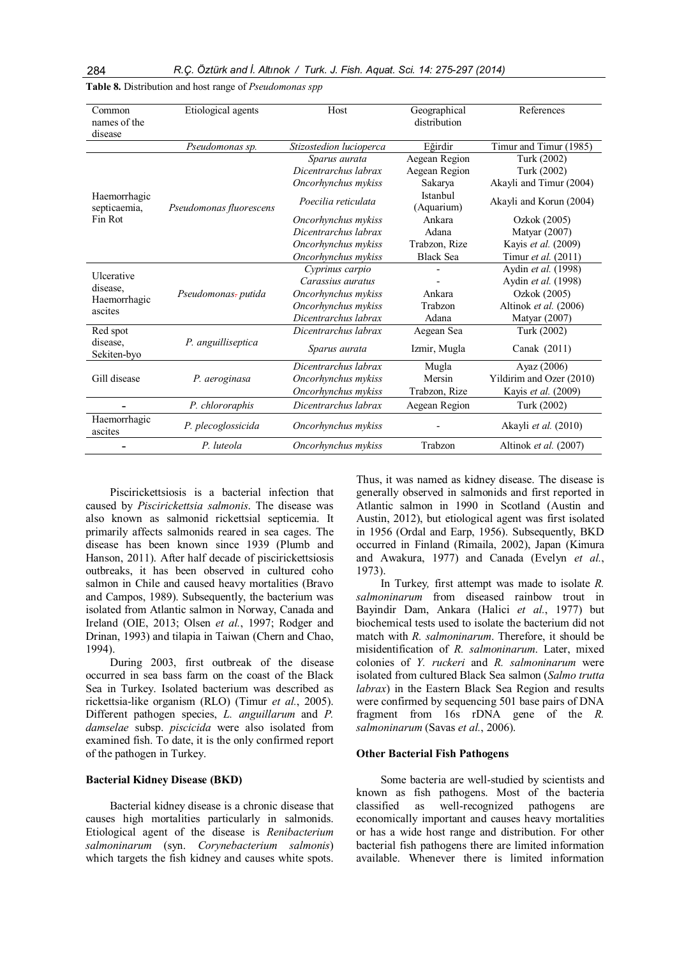| Common<br>names of the<br>disease | Etiological agents      | Host                    | Geographical<br>distribution | References               |
|-----------------------------------|-------------------------|-------------------------|------------------------------|--------------------------|
|                                   | Pseudomonas sp.         | Stizostedion lucioperca | Eğirdir                      | Timur and Timur (1985)   |
|                                   |                         | Sparus aurata           | Aegean Region                | Turk (2002)              |
|                                   |                         | Dicentrarchus labrax    | Aegean Region                | Turk (2002)              |
|                                   |                         | Oncorhynchus mykiss     | Sakarya                      | Akayli and Timur (2004)  |
| Haemorrhagic<br>septicaemia,      | Pseudomonas fluorescens | Poecilia reticulata     | Istanbul<br>(Aquarium)       | Akayli and Korun (2004)  |
| Fin Rot                           |                         | Oncorhynchus mykiss     | Ankara                       | Ozkok (2005)             |
|                                   |                         | Dicentrarchus labrax    | Adana                        | Matyar (2007)            |
|                                   |                         | Oncorhynchus mykiss     | Trabzon, Rize                | Kayis et al. (2009)      |
|                                   |                         | Oncorhynchus mykiss     | <b>Black Sea</b>             | Timur et al. (2011)      |
| Ulcerative                        |                         | Cyprinus carpio         |                              | Aydin et al. (1998)      |
| disease.                          | Pseudomonas- putida     | Carassius auratus       |                              | Aydin et al. (1998)      |
| Haemorrhagic                      |                         | Oncorhynchus mykiss     | Ankara                       | Ozkok (2005)             |
| ascites                           |                         | Oncorhynchus mykiss     | Trabzon                      | Altinok et al. (2006)    |
|                                   |                         | Dicentrarchus labrax    | Adana                        | Matyar (2007)            |
| Red spot                          |                         | Dicentrarchus labrax    | Aegean Sea                   | Turk (2002)              |
| disease.<br>Sekiten-byo           | P. anguilliseptica      | Sparus aurata           | Izmir, Mugla                 | Canak (2011)             |
|                                   |                         | Dicentrarchus labrax    | Mugla                        | Ayaz (2006)              |
| Gill disease                      | P. aeroginasa           | Oncorhynchus mykiss     | Mersin                       | Yildirim and Ozer (2010) |
|                                   |                         | Oncorhynchus mykiss     | Trabzon, Rize                | Kayis et al. (2009)      |
|                                   | P. chlororaphis         | Dicentrarchus labrax    | Aegean Region                | Turk (2002)              |
| Haemorrhagic<br>ascites           | P. plecoglossicida      | Oncorhynchus mykiss     |                              | Akayli et al. (2010)     |
|                                   | P. luteola              | Oncorhynchus mykiss     | Trabzon                      | Altinok et al. (2007)    |

Table 8. Distribution and host range of *Pseudomonas spp* 

Piscirickettsiosis is a bacterial infection that caused by Piscirickettsia salmonis. The disease was also known as salmonid rickettsial septicemia. It primarily affects salmonids reared in sea cages. The disease has been known since 1939 (Plumb and Hanson, 2011). After half decade of piscirickettsiosis outbreaks, it has been observed in cultured coho salmon in Chile and caused heavy mortalities (Bravo and Campos, 1989). Subsequently, the bacterium was isolated from Atlantic salmon in Norway, Canada and Ireland (OIE, 2013; Olsen et al., 1997; Rodger and Drinan, 1993) and tilapia in Taiwan (Chern and Chao, 1994).

During 2003, first outbreak of the disease occurred in sea bass farm on the coast of the Black Sea in Turkey. Isolated bacterium was described as rickettsia-like organism (RLO) (Timur et al., 2005). Different pathogen species, L. anguillarum and P. damselae subsp. piscicida were also isolated from examined fish. To date, it is the only confirmed report of the pathogen in Turkey.

## Bacterial Kidney Disease (BKD)

Bacterial kidney disease is a chronic disease that causes high mortalities particularly in salmonids. Etiological agent of the disease is Renibacterium salmoninarum (syn. Corynebacterium salmonis) which targets the fish kidney and causes white spots.

Thus, it was named as kidney disease. The disease is generally observed in salmonids and first reported in Atlantic salmon in 1990 in Scotland (Austin and Austin, 2012), but etiological agent was first isolated in 1956 (Ordal and Earp, 1956). Subsequently, BKD occurred in Finland (Rimaila, 2002), Japan (Kimura and Awakura, 1977) and Canada (Evelyn et al., 1973).

In Turkey, first attempt was made to isolate R. salmoninarum from diseased rainbow trout in Bayindir Dam, Ankara (Halici et al., 1977) but biochemical tests used to isolate the bacterium did not match with R. salmoninarum. Therefore, it should be misidentification of R. salmoninarum. Later, mixed colonies of Y. ruckeri and R. salmoninarum were isolated from cultured Black Sea salmon (Salmo trutta labrax) in the Eastern Black Sea Region and results were confirmed by sequencing 501 base pairs of DNA fragment from 16s rDNA gene of the R. salmoninarum (Savas et al., 2006).

## Other Bacterial Fish Pathogens

Some bacteria are well-studied by scientists and known as fish pathogens. Most of the bacteria classified as well-recognized pathogens are economically important and causes heavy mortalities or has a wide host range and distribution. For other bacterial fish pathogens there are limited information available. Whenever there is limited information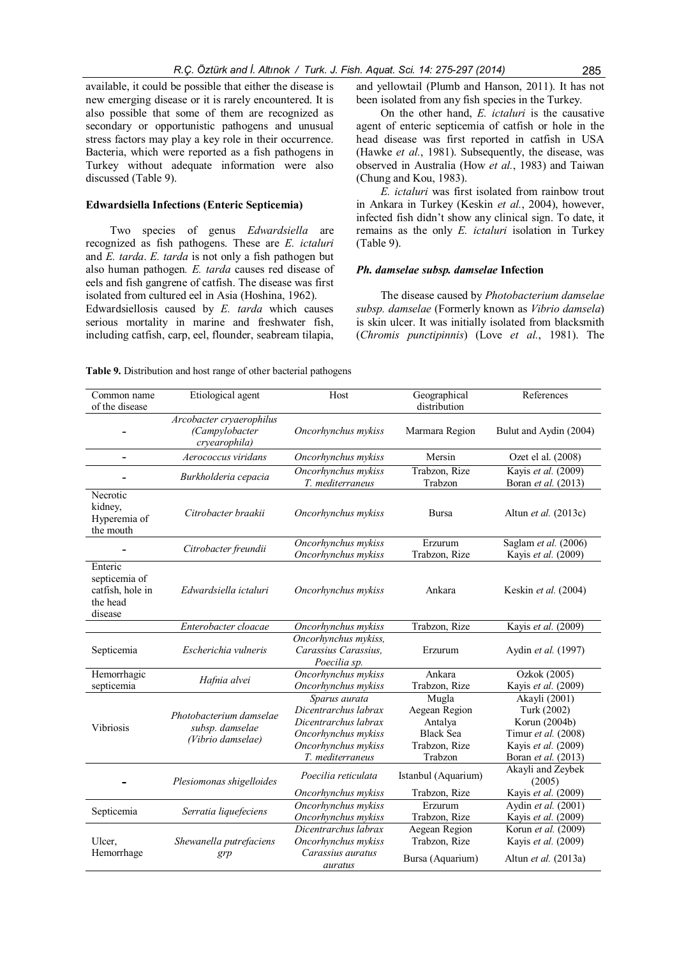available, it could be possible that either the disease is new emerging disease or it is rarely encountered. It is also possible that some of them are recognized as secondary or opportunistic pathogens and unusual stress factors may play a key role in their occurrence. Bacteria, which were reported as a fish pathogens in Turkey without adequate information were also discussed (Table 9).

## Edwardsiella Infections (Enteric Septicemia)

Two species of genus Edwardsiella are recognized as fish pathogens. These are E. ictaluri and E. tarda. E. tarda is not only a fish pathogen but also human pathogen. E. tarda causes red disease of eels and fish gangrene of catfish. The disease was first isolated from cultured eel in Asia (Hoshina, 1962).

Edwardsiellosis caused by E. tarda which causes serious mortality in marine and freshwater fish, including catfish, carp, eel, flounder, seabream tilapia, and yellowtail (Plumb and Hanson, 2011). It has not been isolated from any fish species in the Turkey.

On the other hand, E. ictaluri is the causative agent of enteric septicemia of catfish or hole in the head disease was first reported in catfish in USA (Hawke et al., 1981). Subsequently, the disease, was observed in Australia (How et al., 1983) and Taiwan (Chung and Kou, 1983).

E. ictaluri was first isolated from rainbow trout in Ankara in Turkey (Keskin et al., 2004), however, infected fish didn't show any clinical sign. To date, it remains as the only E. ictaluri isolation in Turkey (Table 9).

## Ph. damselae subsp. damselae Infection

The disease caused by Photobacterium damselae subsp. damselae (Formerly known as Vibrio damsela) is skin ulcer. It was initially isolated from blacksmith (Chromis punctipinnis) (Love et al., 1981). The

| Common name<br>of the disease                                       | Etiological agent<br>Host                                       |                                                                                                                                 | Geographical<br>distribution                                                      | References                                                                                                                |
|---------------------------------------------------------------------|-----------------------------------------------------------------|---------------------------------------------------------------------------------------------------------------------------------|-----------------------------------------------------------------------------------|---------------------------------------------------------------------------------------------------------------------------|
|                                                                     | Arcobacter cryaerophilus<br>(Campylobacter<br>cryearophila)     | Oncorhynchus mykiss                                                                                                             | Marmara Region                                                                    | Bulut and Aydin (2004)                                                                                                    |
|                                                                     | Aerococcus viridans                                             | Oncorhynchus mykiss                                                                                                             | Mersin                                                                            | Ozet el al. (2008)                                                                                                        |
|                                                                     | Burkholderia cepacia                                            | Oncorhynchus mykiss<br>T. mediterraneus                                                                                         | Trabzon, Rize<br>Trabzon                                                          | Kayis et al. (2009)<br>Boran et al. (2013)                                                                                |
| Necrotic<br>kidney,<br>Hyperemia of<br>the mouth                    | Citrobacter braakii                                             | Oncorhynchus mykiss                                                                                                             | <b>Bursa</b>                                                                      | Altun <i>et al.</i> (2013c)                                                                                               |
|                                                                     | Citrobacter freundii                                            | Oncorhynchus mykiss<br>Oncorhynchus mykiss                                                                                      | Erzurum<br>Trabzon, Rize                                                          | Saglam et al. (2006)<br>Kayis et al. (2009)                                                                               |
| Enteric<br>septicemia of<br>catfish, hole in<br>the head<br>disease | Edwardsiella ictaluri                                           | Oncorhynchus mykiss                                                                                                             | Ankara                                                                            | Keskin et al. (2004)                                                                                                      |
|                                                                     | Enterobacter cloacae                                            | Oncorhynchus mykiss                                                                                                             | Trabzon, Rize                                                                     | Kayis et al. (2009)                                                                                                       |
| Septicemia                                                          | Escherichia vulneris                                            | Oncorhynchus mykiss,<br>Carassius Carassius,<br>Poecilia sp.                                                                    | Erzurum                                                                           | Aydin <i>et al.</i> (1997)                                                                                                |
| Hemorrhagic<br>septicemia                                           | Hafnia alvei                                                    | Oncorhynchus mykiss<br>Oncorhynchus mykiss                                                                                      | Ankara<br>Trabzon, Rize                                                           | Ozkok (2005)<br>Kayis et al. (2009)                                                                                       |
| <b>Vibriosis</b>                                                    | Photobacterium damselae<br>subsp. damselae<br>(Vibrio damselae) | Sparus aurata<br>Dicentrarchus labrax<br>Dicentrarchus labrax<br>Oncorhynchus mykiss<br>Oncorhynchus mykiss<br>T. mediterraneus | Mugla<br>Aegean Region<br>Antalya<br><b>Black Sea</b><br>Trabzon, Rize<br>Trabzon | Akayli (2001)<br>Turk (2002)<br>Korun (2004b)<br>Timur et al. (2008)<br>Kayis et al. (2009)<br>Boran <i>et al.</i> (2013) |
|                                                                     | Plesiomonas shigelloides                                        | Poecilia reticulata                                                                                                             | Istanbul (Aquarium)                                                               | Akayli and Zeybek<br>(2005)                                                                                               |
|                                                                     |                                                                 | Oncorhynchus mykiss                                                                                                             | Trabzon, Rize                                                                     | Kayis et al. (2009)                                                                                                       |
| Septicemia                                                          | Serratia liquefeciens                                           | Oncorhynchus mykiss<br>Oncorhynchus mykiss                                                                                      | Erzurum<br>Trabzon, Rize                                                          | Aydin et al. (2001)<br>Kayis et al. (2009)                                                                                |
| Ulcer,<br>Hemorrhage                                                | Shewanella putrefaciens<br>grp                                  | Dicentrarchus labrax<br>Oncorhynchus mykiss<br>Carassius auratus                                                                | Aegean Region<br>Trabzon, Rize                                                    | Korun et al. (2009)<br>Kayis et al. (2009)                                                                                |
|                                                                     |                                                                 | auratus                                                                                                                         | Bursa (Aquarium)                                                                  | Altun et al. (2013a)                                                                                                      |

Table 9. Distribution and host range of other bacterial pathogens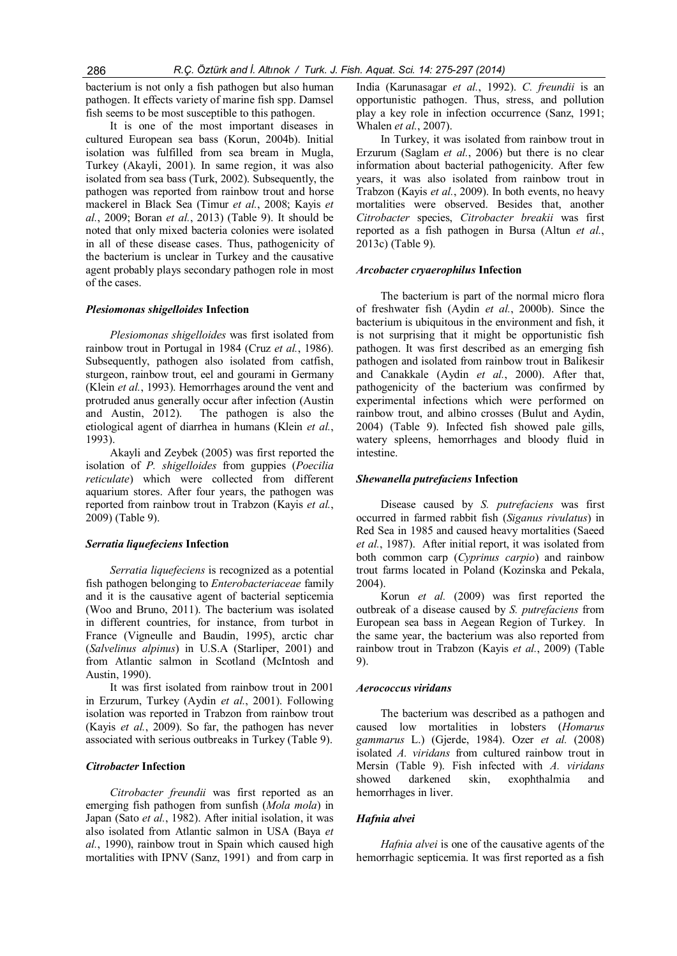bacterium is not only a fish pathogen but also human pathogen. It effects variety of marine fish spp. Damsel fish seems to be most susceptible to this pathogen.

It is one of the most important diseases in cultured European sea bass (Korun, 2004b). Initial isolation was fulfilled from sea bream in Mugla, Turkey (Akayli, 2001). In same region, it was also isolated from sea bass (Turk, 2002). Subsequently, the pathogen was reported from rainbow trout and horse mackerel in Black Sea (Timur et al., 2008; Kayis et  $al., 2009; Boran et al., 2013)$  (Table 9). It should be noted that only mixed bacteria colonies were isolated in all of these disease cases. Thus, pathogenicity of the bacterium is unclear in Turkey and the causative agent probably plays secondary pathogen role in most of the cases.

## Plesiomonas shigelloides Infection

Plesiomonas shigelloides was first isolated from rainbow trout in Portugal in 1984 (Cruz et al., 1986). Subsequently, pathogen also isolated from catfish, sturgeon, rainbow trout, eel and gourami in Germany (Klein et al., 1993). Hemorrhages around the vent and protruded anus generally occur after infection (Austin and Austin, 2012). The pathogen is also the etiological agent of diarrhea in humans (Klein et al., 1993).

Akayli and Zeybek (2005) was first reported the isolation of P. shigelloides from guppies (Poecilia reticulate) which were collected from different aquarium stores. After four years, the pathogen was reported from rainbow trout in Trabzon (Kayis et al., 2009) (Table 9).

#### Serratia liquefeciens Infection

Serratia liquefeciens is recognized as a potential fish pathogen belonging to Enterobacteriaceae family and it is the causative agent of bacterial septicemia (Woo and Bruno, 2011). The bacterium was isolated in different countries, for instance, from turbot in France (Vigneulle and Baudin, 1995), arctic char (Salvelinus alpinus) in U.S.A (Starliper, 2001) and from Atlantic salmon in Scotland (McIntosh and Austin, 1990).

It was first isolated from rainbow trout in 2001 in Erzurum, Turkey (Aydin et al., 2001). Following isolation was reported in Trabzon from rainbow trout (Kayis et al., 2009). So far, the pathogen has never associated with serious outbreaks in Turkey (Table 9).

#### Citrobacter Infection

Citrobacter freundii was first reported as an emerging fish pathogen from sunfish (Mola mola) in Japan (Sato et al., 1982). After initial isolation, it was also isolated from Atlantic salmon in USA (Baya et al., 1990), rainbow trout in Spain which caused high mortalities with IPNV (Sanz, 1991) and from carp in India (Karunasagar et al., 1992). C. freundii is an opportunistic pathogen. Thus, stress, and pollution play a key role in infection occurrence (Sanz, 1991; Whalen et al., 2007).

In Turkey, it was isolated from rainbow trout in Erzurum (Saglam *et al.*, 2006) but there is no clear information about bacterial pathogenicity. After few years, it was also isolated from rainbow trout in Trabzon (Kayis et al., 2009). In both events, no heavy mortalities were observed. Besides that, another Citrobacter species, Citrobacter breakii was first reported as a fish pathogen in Bursa (Altun et al., 2013c) (Table 9).

#### Arcobacter cryaerophilus Infection

The bacterium is part of the normal micro flora of freshwater fish (Aydin et al., 2000b). Since the bacterium is ubiquitous in the environment and fish, it is not surprising that it might be opportunistic fish pathogen. It was first described as an emerging fish pathogen and isolated from rainbow trout in Balikesir and Canakkale (Aydin et al., 2000). After that, pathogenicity of the bacterium was confirmed by experimental infections which were performed on rainbow trout, and albino crosses (Bulut and Aydin, 2004) (Table 9). Infected fish showed pale gills, watery spleens, hemorrhages and bloody fluid in intestine.

## Shewanella putrefaciens Infection

Disease caused by S. putrefaciens was first occurred in farmed rabbit fish (Siganus rivulatus) in Red Sea in 1985 and caused heavy mortalities (Saeed et al., 1987). After initial report, it was isolated from both common carp (Cyprinus carpio) and rainbow trout farms located in Poland (Kozinska and Pekala, 2004).

Korun et al. (2009) was first reported the outbreak of a disease caused by S. putrefaciens from European sea bass in Aegean Region of Turkey. In the same year, the bacterium was also reported from rainbow trout in Trabzon (Kayis et al., 2009) (Table 9).

#### Aerococcus viridans

The bacterium was described as a pathogen and caused low mortalities in lobsters (Homarus gammarus L.) (Gjerde, 1984). Ozer et al. (2008) isolated A. viridans from cultured rainbow trout in Mersin (Table 9). Fish infected with A. viridans showed darkened skin, exophthalmia and hemorrhages in liver.

## Hafnia alvei

Hafnia alvei is one of the causative agents of the hemorrhagic septicemia. It was first reported as a fish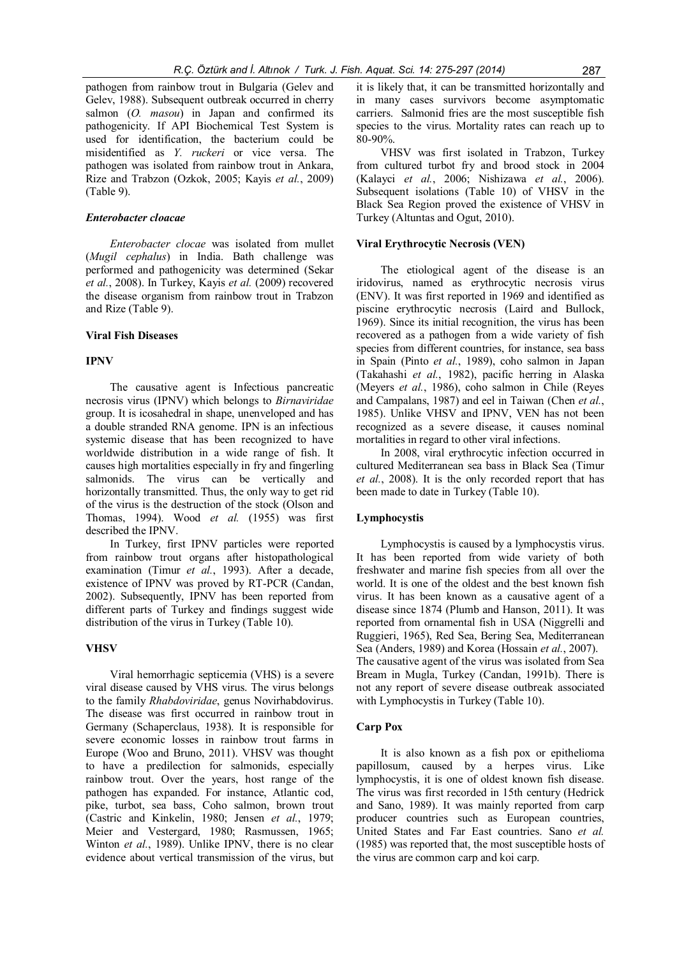pathogen from rainbow trout in Bulgaria (Gelev and Gelev, 1988). Subsequent outbreak occurred in cherry salmon  $(O. masou)$  in Japan and confirmed its pathogenicity. If API Biochemical Test System is used for identification, the bacterium could be misidentified as Y. ruckeri or vice versa. The pathogen was isolated from rainbow trout in Ankara, Rize and Trabzon (Ozkok, 2005; Kayis et al., 2009) (Table 9).

## Enterobacter cloacae

Enterobacter clocae was isolated from mullet (Mugil cephalus) in India. Bath challenge was performed and pathogenicity was determined (Sekar et al., 2008). In Turkey, Kayis et al. (2009) recovered the disease organism from rainbow trout in Trabzon and Rize (Table 9).

## Viral Fish Diseases

## IPNV

The causative agent is Infectious pancreatic necrosis virus (IPNV) which belongs to Birnaviridae group. It is icosahedral in shape, unenveloped and has a double stranded RNA genome. IPN is an infectious systemic disease that has been recognized to have worldwide distribution in a wide range of fish. It causes high mortalities especially in fry and fingerling salmonids. The virus can be vertically and horizontally transmitted. Thus, the only way to get rid of the virus is the destruction of the stock (Olson and Thomas, 1994). Wood et al. (1955) was first described the IPNV.

In Turkey, first IPNV particles were reported from rainbow trout organs after histopathological examination (Timur et al., 1993). After a decade, existence of IPNV was proved by RT-PCR (Candan, 2002). Subsequently, IPNV has been reported from different parts of Turkey and findings suggest wide distribution of the virus in Turkey (Table 10).

## **VHSV**

Viral hemorrhagic septicemia (VHS) is a severe viral disease caused by VHS virus. The virus belongs to the family Rhabdoviridae, genus Novirhabdovirus. The disease was first occurred in rainbow trout in Germany (Schaperclaus, 1938). It is responsible for severe economic losses in rainbow trout farms in Europe (Woo and Bruno, 2011). VHSV was thought to have a predilection for salmonids, especially rainbow trout. Over the years, host range of the pathogen has expanded. For instance, Atlantic cod, pike, turbot, sea bass, Coho salmon, brown trout (Castric and Kinkelin, 1980; Jensen et al., 1979; Meier and Vestergard, 1980; Rasmussen, 1965; Winton *et al.*, 1989). Unlike IPNV, there is no clear evidence about vertical transmission of the virus, but

it is likely that, it can be transmitted horizontally and in many cases survivors become asymptomatic carriers. Salmonid fries are the most susceptible fish species to the virus. Mortality rates can reach up to 80-90%.

VHSV was first isolated in Trabzon, Turkey from cultured turbot fry and brood stock in 2004 (Kalayci et al., 2006; Nishizawa et al., 2006). Subsequent isolations (Table 10) of VHSV in the Black Sea Region proved the existence of VHSV in Turkey (Altuntas and Ogut, 2010).

#### Viral Erythrocytic Necrosis (VEN)

The etiological agent of the disease is an iridovirus, named as erythrocytic necrosis virus (ENV). It was first reported in 1969 and identified as piscine erythrocytic necrosis (Laird and Bullock, 1969). Since its initial recognition, the virus has been recovered as a pathogen from a wide variety of fish species from different countries, for instance, sea bass in Spain (Pinto et al., 1989), coho salmon in Japan (Takahashi et al., 1982), pacific herring in Alaska (Meyers et al., 1986), coho salmon in Chile (Reyes and Campalans, 1987) and eel in Taiwan (Chen et al., 1985). Unlike VHSV and IPNV, VEN has not been recognized as a severe disease, it causes nominal mortalities in regard to other viral infections.

In 2008, viral erythrocytic infection occurred in cultured Mediterranean sea bass in Black Sea (Timur et al., 2008). It is the only recorded report that has been made to date in Turkey (Table 10).

#### Lymphocystis

Lymphocystis is caused by a lymphocystis virus. It has been reported from wide variety of both freshwater and marine fish species from all over the world. It is one of the oldest and the best known fish virus. It has been known as a causative agent of a disease since 1874 (Plumb and Hanson, 2011). It was reported from ornamental fish in USA (Niggrelli and Ruggieri, 1965), Red Sea, Bering Sea, Mediterranean Sea (Anders, 1989) and Korea (Hossain et al., 2007). The causative agent of the virus was isolated from Sea Bream in Mugla, Turkey (Candan, 1991b). There is not any report of severe disease outbreak associated with Lymphocystis in Turkey (Table 10).

#### Carp Pox

It is also known as a fish pox or epithelioma papillosum, caused by a herpes virus. Like lymphocystis, it is one of oldest known fish disease. The virus was first recorded in 15th century (Hedrick and Sano, 1989). It was mainly reported from carp producer countries such as European countries, United States and Far East countries. Sano et al. (1985) was reported that, the most susceptible hosts of the virus are common carp and koi carp.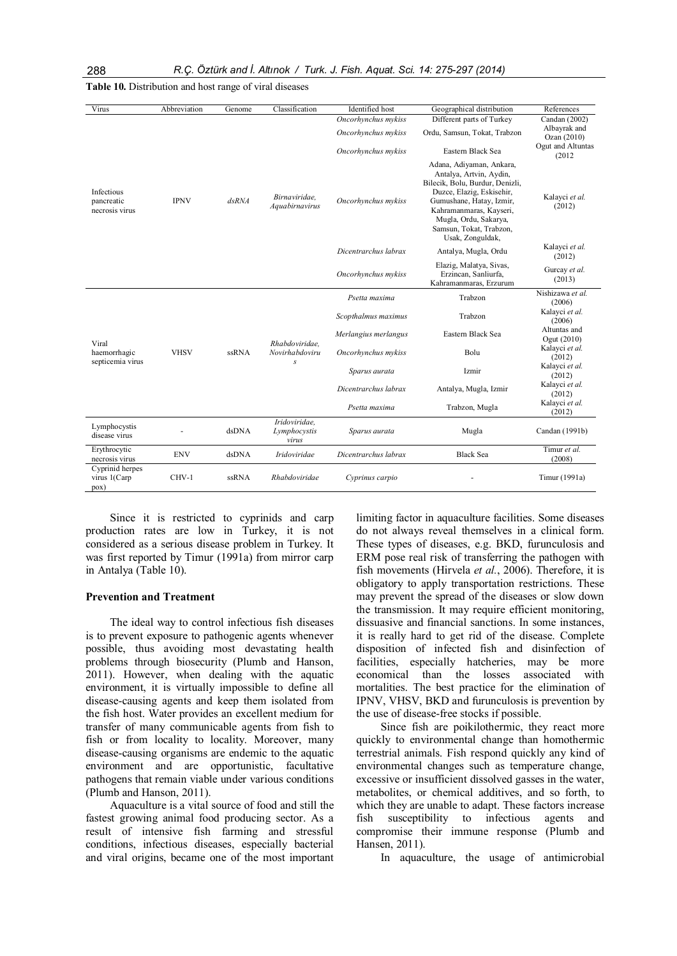| Virus                                      | Abbreviation | Genome       | Classification                         | Identified host      | Geographical distribution                                                                                                                                                                                                                          | References                  |
|--------------------------------------------|--------------|--------------|----------------------------------------|----------------------|----------------------------------------------------------------------------------------------------------------------------------------------------------------------------------------------------------------------------------------------------|-----------------------------|
|                                            |              |              |                                        | Oncorhynchus mykiss  | Different parts of Turkey                                                                                                                                                                                                                          | Candan (2002)               |
|                                            |              |              |                                        | Oncorhynchus mykiss  | Ordu, Samsun, Tokat, Trabzon                                                                                                                                                                                                                       | Albayrak and<br>Ozan (2010) |
|                                            |              |              |                                        | Oncorhynchus mykiss  | Eastern Black Sea                                                                                                                                                                                                                                  | Ogut and Altuntas<br>(2012) |
| Infectious<br>pancreatic<br>necrosis virus | <b>IPNV</b>  | $d$ s $RN$ A | Birnaviridae.<br>Aquabirnavirus        | Oncorhynchus mykiss  | Adana, Adiyaman, Ankara,<br>Antalya, Artvin, Aydin,<br>Bilecik, Bolu, Burdur, Denizli,<br>Duzce, Elazig, Eskisehir,<br>Gumushane, Hatay, Izmir,<br>Kahramanmaras, Kayseri,<br>Mugla, Ordu, Sakarya,<br>Samsun, Tokat, Trabzon,<br>Usak, Zonguldak, | Kalayci et al.<br>(2012)    |
|                                            |              |              |                                        | Dicentrarchus labrax | Antalya, Mugla, Ordu                                                                                                                                                                                                                               | Kalayci et al.<br>(2012)    |
|                                            |              |              |                                        | Oncorhynchus mykiss  | Elazig, Malatya, Sivas,<br>Erzincan, Sanliurfa,<br>Kahramanmaras, Erzurum                                                                                                                                                                          | Gurcay et al.<br>(2013)     |
|                                            |              |              | Rhabdoviridae.<br>Novirhabdoviru       | Psetta maxima        | Trabzon                                                                                                                                                                                                                                            | Nishizawa et al.<br>(2006)  |
|                                            |              |              |                                        |                      | Scopthalmus maximus                                                                                                                                                                                                                                | Trabzon                     |
| Viral                                      |              |              |                                        | Merlangius merlangus | Eastern Black Sea                                                                                                                                                                                                                                  | Altuntas and<br>Ogut (2010) |
| haemorrhagic<br>septicemia virus           | <b>VHSV</b>  | ssRNA        |                                        | Oncorhynchus mykiss  | Bolu                                                                                                                                                                                                                                               | Kalayci et al.<br>(2012)    |
|                                            |              |              | S                                      | Sparus aurata        | Izmir                                                                                                                                                                                                                                              | Kalayci et al.<br>(2012)    |
|                                            |              |              |                                        | Dicentrarchus labrax | Antalya, Mugla, Izmir                                                                                                                                                                                                                              | Kalayci et al.<br>(2012)    |
|                                            |              |              |                                        | Psetta maxima        | Trabzon, Mugla                                                                                                                                                                                                                                     | Kalayci et al.<br>(2012)    |
| Lymphocystis<br>disease virus              |              | dsDNA        | Iridoviridae.<br>Lymphocystis<br>virus | Sparus aurata        | Mugla                                                                                                                                                                                                                                              | Candan (1991b)              |
| Erythrocytic<br>necrosis virus             | <b>ENV</b>   | dsDNA        | Iridoviridae                           | Dicentrarchus labrax | <b>Black Sea</b>                                                                                                                                                                                                                                   | Timur et al.<br>(2008)      |
| Cyprinid herpes<br>virus 1(Carp<br>pox)    | CHV-1        | <b>ssRNA</b> | Rhabdoviridae                          | Cyprinus carpio      |                                                                                                                                                                                                                                                    | Timur (1991a)               |

Table 10. Distribution and host range of viral diseases

Since it is restricted to cyprinids and carp production rates are low in Turkey, it is not considered as a serious disease problem in Turkey. It was first reported by Timur (1991a) from mirror carp in Antalya (Table 10).

#### Prevention and Treatment

The ideal way to control infectious fish diseases is to prevent exposure to pathogenic agents whenever possible, thus avoiding most devastating health problems through biosecurity (Plumb and Hanson, 2011). However, when dealing with the aquatic environment, it is virtually impossible to define all disease-causing agents and keep them isolated from the fish host. Water provides an excellent medium for transfer of many communicable agents from fish to fish or from locality to locality. Moreover, many disease-causing organisms are endemic to the aquatic environment and are opportunistic, facultative pathogens that remain viable under various conditions (Plumb and Hanson, 2011).

Aquaculture is a vital source of food and still the fastest growing animal food producing sector. As a result of intensive fish farming and stressful conditions, infectious diseases, especially bacterial and viral origins, became one of the most important

limiting factor in aquaculture facilities. Some diseases do not always reveal themselves in a clinical form. These types of diseases, e.g. BKD, furunculosis and ERM pose real risk of transferring the pathogen with fish movements (Hirvela et al., 2006). Therefore, it is obligatory to apply transportation restrictions. These may prevent the spread of the diseases or slow down the transmission. It may require efficient monitoring, dissuasive and financial sanctions. In some instances, it is really hard to get rid of the disease. Complete disposition of infected fish and disinfection of facilities, especially hatcheries, may be more economical than the losses associated with mortalities. The best practice for the elimination of IPNV, VHSV, BKD and furunculosis is prevention by the use of disease-free stocks if possible.

Since fish are poikilothermic, they react more quickly to environmental change than homothermic terrestrial animals. Fish respond quickly any kind of environmental changes such as temperature change, excessive or insufficient dissolved gasses in the water, metabolites, or chemical additives, and so forth, to which they are unable to adapt. These factors increase fish susceptibility to infectious agents and compromise their immune response (Plumb and Hansen, 2011).

In aquaculture, the usage of antimicrobial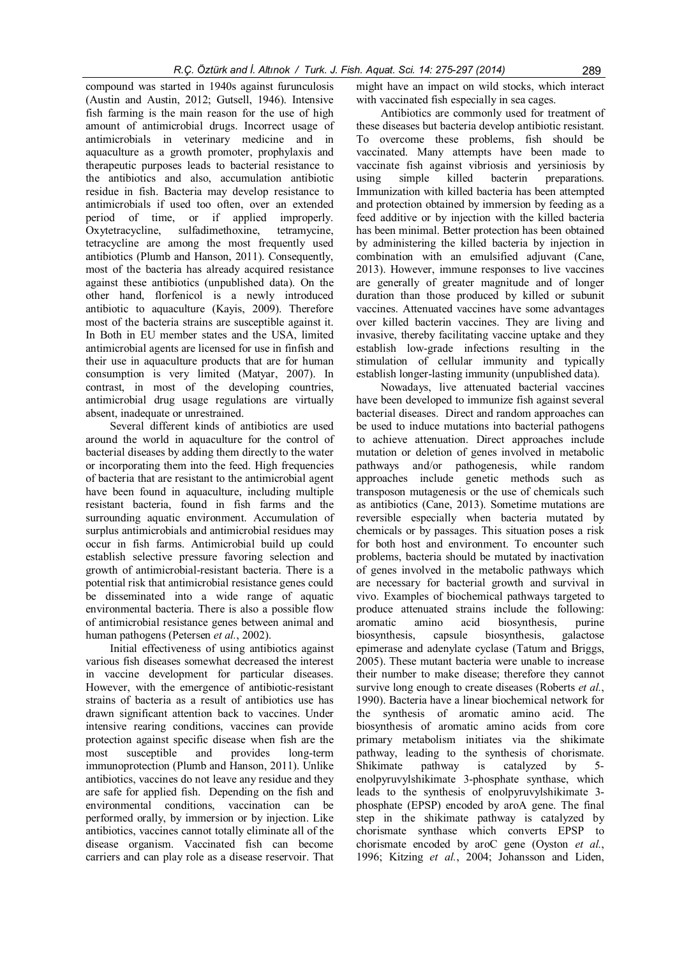compound was started in 1940s against furunculosis (Austin and Austin, 2012; Gutsell, 1946). Intensive fish farming is the main reason for the use of high amount of antimicrobial drugs. Incorrect usage of antimicrobials in veterinary medicine and in aquaculture as a growth promoter, prophylaxis and therapeutic purposes leads to bacterial resistance to the antibiotics and also, accumulation antibiotic residue in fish. Bacteria may develop resistance to antimicrobials if used too often, over an extended period of time, or if applied improperly. Oxytetracycline, sulfadimethoxine, tetramycine, tetracycline are among the most frequently used antibiotics (Plumb and Hanson, 2011). Consequently, most of the bacteria has already acquired resistance against these antibiotics (unpublished data). On the other hand, florfenicol is a newly introduced antibiotic to aquaculture (Kayis, 2009). Therefore most of the bacteria strains are susceptible against it. In Both in EU member states and the USA, limited antimicrobial agents are licensed for use in finfish and their use in aquaculture products that are for human consumption is very limited (Matyar, 2007). In contrast, in most of the developing countries, antimicrobial drug usage regulations are virtually absent, inadequate or unrestrained.

Several different kinds of antibiotics are used around the world in aquaculture for the control of bacterial diseases by adding them directly to the water or incorporating them into the feed. High frequencies of bacteria that are resistant to the antimicrobial agent have been found in aquaculture, including multiple resistant bacteria, found in fish farms and the surrounding aquatic environment. Accumulation of surplus antimicrobials and antimicrobial residues may occur in fish farms. Antimicrobial build up could establish selective pressure favoring selection and growth of antimicrobial-resistant bacteria. There is a potential risk that antimicrobial resistance genes could be disseminated into a wide range of aquatic environmental bacteria. There is also a possible flow of antimicrobial resistance genes between animal and human pathogens (Petersen et al., 2002).

Initial effectiveness of using antibiotics against various fish diseases somewhat decreased the interest in vaccine development for particular diseases. However, with the emergence of antibiotic-resistant strains of bacteria as a result of antibiotics use has drawn significant attention back to vaccines. Under intensive rearing conditions, vaccines can provide protection against specific disease when fish are the most susceptible and provides long-term immunoprotection (Plumb and Hanson, 2011). Unlike antibiotics, vaccines do not leave any residue and they are safe for applied fish. Depending on the fish and environmental conditions, vaccination can be performed orally, by immersion or by injection. Like antibiotics, vaccines cannot totally eliminate all of the disease organism. Vaccinated fish can become carriers and can play role as a disease reservoir. That

might have an impact on wild stocks, which interact with vaccinated fish especially in sea cages.

Antibiotics are commonly used for treatment of these diseases but bacteria develop antibiotic resistant. To overcome these problems, fish should be vaccinated. Many attempts have been made to vaccinate fish against vibriosis and yersiniosis by using simple killed bacterin preparations. Immunization with killed bacteria has been attempted and protection obtained by immersion by feeding as a feed additive or by injection with the killed bacteria has been minimal. Better protection has been obtained by administering the killed bacteria by injection in combination with an emulsified adjuvant (Cane, 2013). However, immune responses to live vaccines are generally of greater magnitude and of longer duration than those produced by killed or subunit vaccines. Attenuated vaccines have some advantages over killed bacterin vaccines. They are living and invasive, thereby facilitating vaccine uptake and they establish low-grade infections resulting in the stimulation of cellular immunity and typically establish longer-lasting immunity (unpublished data).

Nowadays, live attenuated bacterial vaccines have been developed to immunize fish against several bacterial diseases. Direct and random approaches can be used to induce mutations into bacterial pathogens to achieve attenuation. Direct approaches include mutation or deletion of genes involved in metabolic pathways and/or pathogenesis, while random approaches include genetic methods such as transposon mutagenesis or the use of chemicals such as antibiotics (Cane, 2013). Sometime mutations are reversible especially when bacteria mutated by chemicals or by passages. This situation poses a risk for both host and environment. To encounter such problems, bacteria should be mutated by inactivation of genes involved in the metabolic pathways which are necessary for bacterial growth and survival in vivo. Examples of biochemical pathways targeted to produce attenuated strains include the following: aromatic amino acid biosynthesis, purine biosynthesis, capsule biosynthesis, galactose epimerase and adenylate cyclase (Tatum and Briggs, 2005). These mutant bacteria were unable to increase their number to make disease; therefore they cannot survive long enough to create diseases (Roberts et al., 1990). Bacteria have a linear biochemical network for the synthesis of aromatic amino acid. The biosynthesis of aromatic amino acids from core primary metabolism initiates via the shikimate pathway, leading to the synthesis of chorismate. Shikimate pathway is catalyzed by 5 enolpyruvylshikimate 3-phosphate synthase, which leads to the synthesis of enolpyruvylshikimate 3 phosphate (EPSP) encoded by aroA gene. The final step in the shikimate pathway is catalyzed by chorismate synthase which converts EPSP to chorismate encoded by aroC gene (Oyston et al., 1996; Kitzing et al., 2004; Johansson and Liden,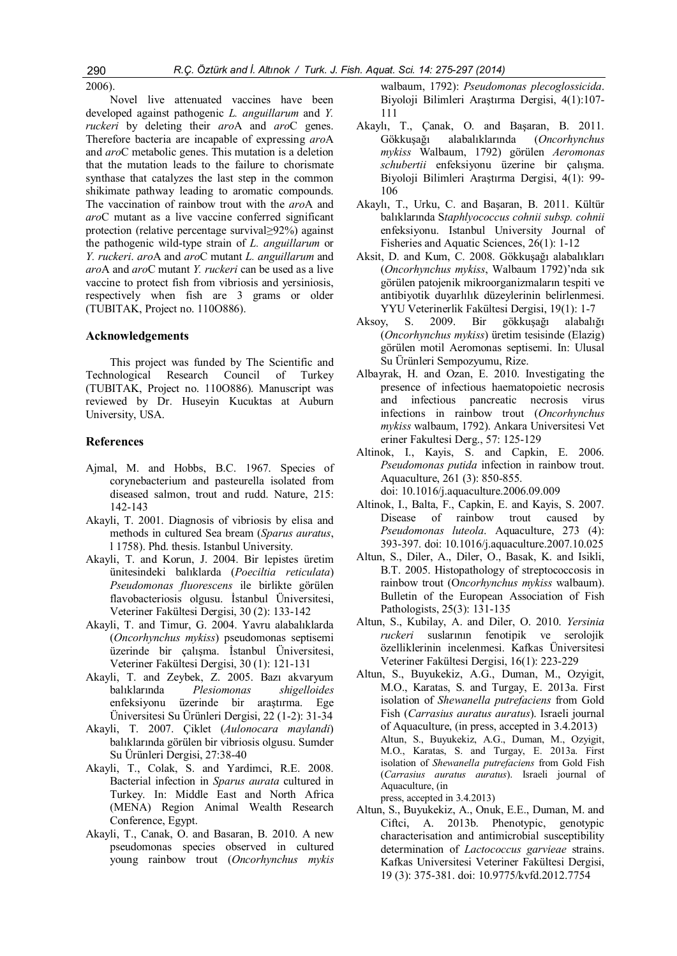2006).

Novel live attenuated vaccines have been developed against pathogenic L. anguillarum and Y. ruckeri by deleting their aroA and aroC genes. Therefore bacteria are incapable of expressing aroA and aroC metabolic genes. This mutation is a deletion that the mutation leads to the failure to chorismate synthase that catalyzes the last step in the common shikimate pathway leading to aromatic compounds. The vaccination of rainbow trout with the *aro*A and aroC mutant as a live vaccine conferred significant protection (relative percentage survival≥92%) against the pathogenic wild-type strain of L. anguillarum or Y. ruckeri. aroA and aroC mutant L. anguillarum and aroA and aroC mutant Y. ruckeri can be used as a live vaccine to protect fish from vibriosis and yersiniosis, respectively when fish are 3 grams or older (TUBITAK, Project no. 110O886).

## Acknowledgements

This project was funded by The Scientific and Technological Research Council of Turkey (TUBITAK, Project no. 110O886). Manuscript was reviewed by Dr. Huseyin Kucuktas at Auburn University, USA.

### References

- Ajmal, M. and Hobbs, B.C. 1967. Species of corynebacterium and pasteurella isolated from diseased salmon, trout and rudd. Nature, 215: 142-143
- Akayli, T. 2001. Diagnosis of vibriosis by elisa and methods in cultured Sea bream (Sparus auratus, l 1758). Phd. thesis. Istanbul University.
- Akayli, T. and Korun, J. 2004. Bir lepistes üretim ünitesindeki balıklarda (Poeciltia reticulata) Pseudomonas fluorescens ile birlikte görülen flavobacteriosis olgusu. İstanbul Üniversitesi, Veteriner Fakültesi Dergisi, 30 (2): 133-142
- Akayli, T. and Timur, G. 2004. Yavru alabalıklarda (Oncorhynchus mykiss) pseudomonas septisemi üzerinde bir çalışma. İstanbul Üniversitesi, Veteriner Fakültesi Dergisi, 30 (1): 121-131
- Akayli, T. and Zeybek, Z. 2005. Bazı akvaryum balıklarında Plesiomonas shigelloides enfeksiyonu üzerinde bir araştırma. Ege Üniversitesi Su Ürünleri Dergisi, 22 (1-2): 31-34
- Akayli, T. 2007. Çiklet (Aulonocara maylandi) balıklarında görülen bir vibriosis olgusu. Sumder Su Ürünleri Dergisi, 27:38-40
- Akayli, T., Colak, S. and Yardimci, R.E. 2008. Bacterial infection in Sparus aurata cultured in Turkey. In: Middle East and North Africa (MENA) Region Animal Wealth Research Conference, Egypt.
- Akayli, T., Canak, O. and Basaran, B. 2010. A new pseudomonas species observed in cultured young rainbow trout (Oncorhynchus mykis

walbaum, 1792): Pseudomonas plecoglossicida. Biyoloji Bilimleri Araştırma Dergisi, 4(1):107- 111

- Akaylı, T., Çanak, O. and Başaran, B. 2011. Gökkuşağı alabalıklarında (Oncorhynchus mykiss Walbaum, 1792) görülen Aeromonas schubertii enfeksiyonu üzerine bir çalışma. Biyoloji Bilimleri Araştırma Dergisi, 4(1): 99- 106
- Akaylı, T., Urku, C. and Başaran, B. 2011. Kültür balıklarında Staphlyococcus cohnii subsp. cohnii enfeksiyonu. Istanbul University Journal of Fisheries and Aquatic Sciences, 26(1): 1-12
- Aksit, D. and Kum, C. 2008. Gökkuşağı alabalıkları (Oncorhynchus mykiss, Walbaum 1792)'nda sık görülen patojenik mikroorganizmaların tespiti ve antibiyotik duyarlılık düzeylerinin belirlenmesi. YYU Veterinerlik Fakültesi Dergisi, 19(1): 1-7
- Aksoy, S. 2009. Bir gökkuşağı alabalığı (Oncorhynchus mykiss) üretim tesisinde (Elazig) görülen motil Aeromonas septisemi. In: Ulusal Su Ürünleri Sempozyumu, Rize.
- Albayrak, H. and Ozan, E. 2010. Investigating the presence of infectious haematopoietic necrosis and infectious pancreatic necrosis virus infections in rainbow trout (Oncorhynchus mykiss walbaum, 1792). Ankara Universitesi Vet eriner Fakultesi Derg., 57: 125-129
- Altinok, I., Kayis, S. and Capkin, E. 2006. Pseudomonas putida infection in rainbow trout. Aquaculture, 261 (3): 850-855. doi: 10.1016/j.aquaculture.2006.09.009
- Altinok, I., Balta, F., Capkin, E. and Kayis, S. 2007. Disease of rainbow trout caused by Pseudomonas luteola. Aquaculture, 273 (4): 393-397. doi: 10.1016/j.aquaculture.2007.10.025
- Altun, S., Diler, A., Diler, O., Basak, K. and Isikli, B.T. 2005. Histopathology of streptococcosis in rainbow trout (Oncorhynchus mykiss walbaum). Bulletin of the European Association of Fish Pathologists, 25(3): 131-135
- Altun, S., Kubilay, A. and Diler, O. 2010. Yersinia ruckeri suslarının fenotipik ve serolojik özelliklerinin incelenmesi. Kafkas Üniversitesi Veteriner Fakültesi Dergisi, 16(1): 223-229
- Altun, S., Buyukekiz, A.G., Duman, M., Ozyigit, M.O., Karatas, S. and Turgay, E. 2013a. First isolation of Shewanella putrefaciens from Gold Fish (Carrasius auratus auratus). Israeli journal of Aquaculture, (in press, accepted in 3.4.2013) Altun, S., Buyukekiz, A.G., Duman, M., Ozyigit, M.O., Karatas, S. and Turgay, E. 2013a. First isolation of Shewanella putrefaciens from Gold Fish (Carrasius auratus auratus). Israeli journal of Aquaculture, (in press, accepted in 3.4.2013)
- Altun, S., Buyukekiz, A., Onuk, E.E., Duman, M. and Ciftci, A. 2013b. Phenotypic, genotypic characterisation and antimicrobial susceptibility determination of Lactococcus garvieae strains. Kafkas Universitesi Veteriner Fakültesi Dergisi, 19 (3): 375-381. doi: 10.9775/kvfd.2012.7754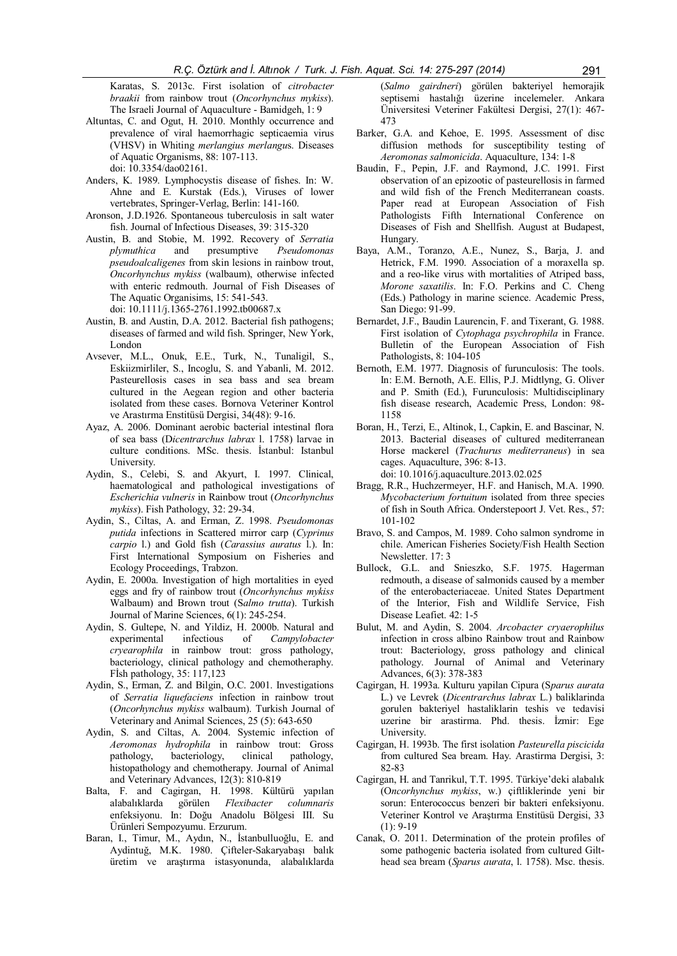Karatas, S. 2013c. First isolation of *citrobacter* braakii from rainbow trout (Oncorhynchus mykiss). The Israeli Journal of Aquaculture - Bamidgeh, 1: 9

- Altuntas, C. and Ogut, H. 2010. Monthly occurrence and prevalence of viral haemorrhagic septicaemia virus (VHSV) in Whiting merlangius merlangus. Diseases of Aquatic Organisms, 88: 107-113. doi: 10.3354/dao02161.
- Anders, K. 1989. Lymphocystis disease of fishes. In: W. Ahne and E. Kurstak (Eds.), Viruses of lower vertebrates, Springer-Verlag, Berlin: 141-160.
- Aronson, J.D.1926. Spontaneous tuberculosis in salt water fish. Journal of Infectious Diseases, 39: 315-320
- Austin, B. and Stobie, M. 1992. Recovery of Serratia plymuthica and presumptive Pseudomonas pseudoalcaligenes from skin lesions in rainbow trout, Oncorhynchus mykiss (walbaum), otherwise infected with enteric redmouth. Journal of Fish Diseases of The Aquatic Organisims, 15: 541-543.
- doi: 10.1111/j.1365-2761.1992.tb00687.x Austin, B. and Austin, D.A. 2012. Bacterial fish pathogens;
- diseases of farmed and wild fish. Springer, New York, London
- Avsever, M.L., Onuk, E.E., Turk, N., Tunaligil, S., Eskiizmirliler, S., Incoglu, S. and Yabanli, M. 2012. Pasteurellosis cases in sea bass and sea bream cultured in the Aegean region and other bacteria isolated from these cases. Bornova Veteriner Kontrol ve Arastırma Enstitüsü Dergisi, 34(48): 9-16.
- Ayaz, A. 2006. Dominant aerobic bacterial intestinal flora of sea bass (Dicentrarchus labrax l. 1758) larvae in culture conditions. MSc. thesis. İstanbul: Istanbul University.
- Aydin, S., Celebi, S. and Akyurt, I. 1997. Clinical, haematological and pathological investigations of Escherichia vulneris in Rainbow trout (Oncorhynchus mykiss). Fish Pathology, 32: 29-34.
- Aydin, S., Ciltas, A. and Erman, Z. 1998. Pseudomonas putida infections in Scattered mirror carp (Cyprinus carpio l.) and Gold fish (Carassius auratus l.). In: First International Symposium on Fisheries and Ecology Proceedings, Trabzon.
- Aydin, E. 2000a. Investigation of high mortalities in eyed eggs and fry of rainbow trout (Oncorhynchus mykiss Walbaum) and Brown trout (Salmo trutta). Turkish Journal of Marine Sciences, 6(1): 245-254.
- Aydin, S. Gultepe, N. and Yildiz, H. 2000b. Natural and experimental infectious of *Campylobacter* experimental infectious of Campylobacter cryearophila in rainbow trout: gross pathology, bacteriology, clinical pathology and chemotheraphy. Fİsh pathology, 35: 117,123
- Aydin, S., Erman, Z. and Bilgin, O.C. 2001. Investigations of Serratia liquefaciens infection in rainbow trout (Oncorhynchus mykiss walbaum). Turkish Journal of Veterinary and Animal Sciences, 25 (5): 643-650
- Aydin, S. and Ciltas, A. 2004. Systemic infection of Aeromonas hydrophila in rainbow trout: Gross pathology, bacteriology, clinical pathology, histopathology and chemotherapy. Journal of Animal and Veterinary Advances, 12(3): 810-819
- Balta, F. and Cagirgan, H. 1998. Kültürü yapılan alabalıklarda görülen Flexibacter columnaris enfeksiyonu. In: Doğu Anadolu Bölgesi III. Su Ürünleri Sempozyumu. Erzurum.
- Baran, I., Timur, M., Aydın, N., İstanbulluoğlu, E. and Aydintuğ, M.K. 1980. Çifteler-Sakaryabaşı balık üretim ve araştırma istasyonunda, alabalıklarda

(Salmo gairdneri) görülen bakteriyel hemorajik septisemi hastalığı üzerine incelemeler. Ankara Üniversitesi Veteriner Fakültesi Dergisi, 27(1): 467- 473

- Barker, G.A. and Kehoe, E. 1995. Assessment of disc diffusion methods for susceptibility testing of Aeromonas salmonicida. Aquaculture, 134: 1-8
- Baudin, F., Pepin, J.F. and Raymond, J.C. 1991. First observation of an epizootic of pasteurellosis in farmed and wild fish of the French Mediterranean coasts. Paper read at European Association of Fish Pathologists Fifth International Conference on Diseases of Fish and Shellfish. August at Budapest, Hungary.
- Baya, A.M., Toranzo, A.E., Nunez, S., Barja, J. and Hetrick, F.M. 1990. Association of a moraxella sp. and a reo-like virus with mortalities of Atriped bass, Morone saxatilis. In: F.O. Perkins and C. Cheng (Eds.) Pathology in marine science. Academic Press, San Diego: 91-99.
- Bernardet, J.F., Baudin Laurencin, F. and Tixerant, G. 1988. First isolation of Cytophaga psychrophila in France. Bulletin of the European Association of Fish Pathologists, 8: 104-105
- Bernoth, E.M. 1977. Diagnosis of furunculosis: The tools. In: E.M. Bernoth, A.E. Ellis, P.J. Midtlyng, G. Oliver and P. Smith (Ed.), Furunculosis: Multidisciplinary fish disease research, Academic Press, London: 98- 1158
- Boran, H., Terzi, E., Altinok, I., Capkin, E. and Bascinar, N. 2013. Bacterial diseases of cultured mediterranean Horse mackerel (Trachurus mediterraneus) in sea cages. Aquaculture, 396: 8-13. doi: 10.1016/j.aquaculture.2013.02.025
- Bragg, R.R., Huchzermeyer, H.F. and Hanisch, M.A. 1990. Mycobacterium fortuitum isolated from three species of fish in South Africa. Onderstepoort J. Vet. Res., 57: 101-102
- Bravo, S. and Campos, M. 1989. Coho salmon syndrome in chile. American Fisheries Society/Fish Health Section Newsletter. 17: 3
- Bullock, G.L. and Snieszko, S.F. 1975. Hagerman redmouth, a disease of salmonids caused by a member of the enterobacteriaceae. United States Department of the Interior, Fish and Wildlife Service, Fish Disease Leafiet. 42: 1-5
- Bulut, M. and Aydin, S. 2004. Arcobacter cryaerophilus infection in cross albino Rainbow trout and Rainbow trout: Bacteriology, gross pathology and clinical pathology. Journal of Animal and Veterinary Advances, 6(3): 378-383
- Cagirgan, H. 1993a. Kulturu yapilan Cipura (Sparus aurata L.) ve Levrek (Dicentrarchus labrax L.) baliklarinda gorulen bakteriyel hastaliklarin teshis ve tedavisi uzerine bir arastirma. Phd. thesis. İzmir: Ege University.
- Cagirgan, H. 1993b. The first isolation Pasteurella piscicida from cultured Sea bream. Hay. Arastirma Dergisi, 3: 82-83
- Cagirgan, H. and Tanrikul, T.T. 1995. Türkiye'deki alabalık (Oncorhynchus mykiss, w.) çiftliklerinde yeni bir sorun: Enterococcus benzeri bir bakteri enfeksiyonu. Veteriner Kontrol ve Araştırma Enstitüsü Dergisi, 33  $(1): 9-19$
- Canak, O. 2011. Determination of the protein profiles of some pathogenic bacteria isolated from cultured Gilthead sea bream (Sparus aurata, l. 1758). Msc. thesis.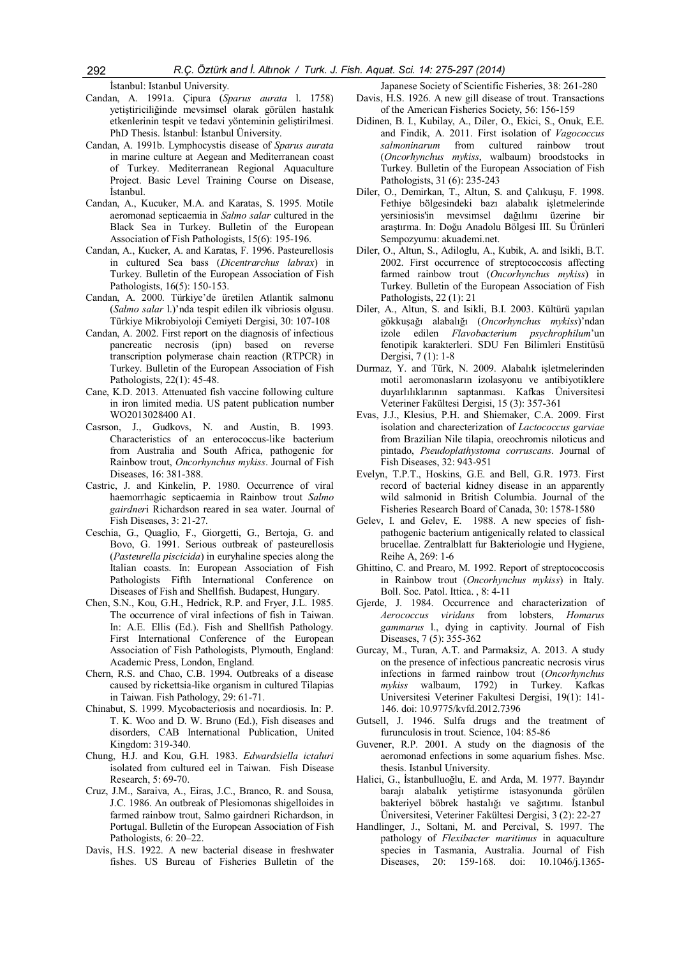İstanbul: Istanbul University.

- Candan, A. 1991a. Çipura (Sparus aurata l. 1758) yetiştiriciliğinde mevsimsel olarak görülen hastalık etkenlerinin tespit ve tedavi yönteminin geliştirilmesi. PhD Thesis. İstanbul: İstanbul Üniversity.
- Candan, A. 1991b. Lymphocystis disease of Sparus aurata in marine culture at Aegean and Mediterranean coast of Turkey. Mediterranean Regional Aquaculture Project. Basic Level Training Course on Disease, İstanbul.
- Candan, A., Kucuker, M.A. and Karatas, S. 1995. Motile aeromonad septicaemia in Salmo salar cultured in the Black Sea in Turkey. Bulletin of the European Association of Fish Pathologists, 15(6): 195-196.
- Candan, A., Kucker, A. and Karatas, F. 1996. Pasteurellosis in cultured Sea bass (Dicentrarchus labrax) in Turkey. Bulletin of the European Association of Fish Pathologists, 16(5): 150-153.
- Candan, A. 2000. Türkiye'de üretilen Atlantik salmonu (Salmo salar l.)'nda tespit edilen ilk vibriosis olgusu. Türkiye Mikrobiyoloji Cemiyeti Dergisi, 30: 107-108
- Candan, A. 2002. First report on the diagnosis of infectious pancreatic necrosis (ipn) based on reverse transcription polymerase chain reaction (RTPCR) in Turkey. Bulletin of the European Association of Fish Pathologists, 22(1): 45-48.
- Cane, K.D. 2013. Attenuated fish vaccine following culture in iron limited media. US patent publication number WO2013028400 A1.
- Casrson, J., Gudkovs, N. and Austin, B. 1993. Characteristics of an enterococcus-like bacterium from Australia and South Africa, pathogenic for Rainbow trout, Oncorhynchus mykiss. Journal of Fish Diseases, 16: 381-388.
- Castric, J. and Kinkelin, P. 1980. Occurrence of viral haemorrhagic septicaemia in Rainbow trout Salmo gairdneri Richardson reared in sea water. Journal of Fish Diseases, 3: 21-27.
- Ceschia, G., Quaglio, F., Giorgetti, G., Bertoja, G. and Bovo, G. 1991. Serious outbreak of pasteurellosis (Pasteurella piscicida) in euryhaline species along the Italian coasts. In: European Association of Fish Pathologists Fifth International Conference on Diseases of Fish and Shellfish. Budapest, Hungary.
- Chen, S.N., Kou, G.H., Hedrick, R.P. and Fryer, J.L. 1985. The occurrence of viral infections of fish in Taiwan. In: A.E. Ellis (Ed.). Fish and Shellfish Pathology. First International Conference of the European Association of Fish Pathologists, Plymouth, England: Academic Press, London, England.
- Chern, R.S. and Chao, C.B. 1994. Outbreaks of a disease caused by rickettsia-like organism in cultured Tilapias in Taiwan. Fish Pathology, 29: 61-71.
- Chinabut, S. 1999. Mycobacteriosis and nocardiosis. In: P. T. K. Woo and D. W. Bruno (Ed.), Fish diseases and disorders, CAB International Publication, United Kingdom: 319-340.
- Chung, H.J. and Kou, G.H. 1983. Edwardsiella ictaluri isolated from cultured eel in Taiwan. Fish Disease Research, 5: 69-70.
- Cruz, J.M., Saraiva, A., Eiras, J.C., Branco, R. and Sousa, J.C. 1986. An outbreak of Plesiomonas shigelloides in farmed rainbow trout, Salmo gairdneri Richardson, in Portugal. Bulletin of the European Association of Fish Pathologists, 6: 20–22.
- Davis, H.S. 1922. A new bacterial disease in freshwater fishes. US Bureau of Fisheries Bulletin of the

Japanese Society of Scientific Fisheries, 38: 261-280

- Davis, H.S. 1926. A new gill disease of trout. Transactions of the American Fisheries Society, 56: 156-159
- Didinen, B. I., Kubilay, A., Diler, O., Ekici, S., Onuk, E.E. and Findik, A. 2011. First isolation of Vagococcus salmoninarum from cultured rainbow trout (Oncorhynchus mykiss, walbaum) broodstocks in Turkey. Bulletin of the European Association of Fish Pathologists, 31 (6): 235-243
- Diler, O., Demirkan, T., Altun, S. and Çalıkuşu, F. 1998. Fethiye bölgesindeki bazı alabalık işletmelerinde yersiniosis'in mevsimsel dağılımı üzerine bir araştırma. In: Doğu Anadolu Bölgesi III. Su Ürünleri Sempozyumu: akuademi.net.
- Diler, O., Altun, S., Adiloglu, A., Kubik, A. and Isikli, B.T. 2002. First occurrence of streptococcosis affecting farmed rainbow trout (Oncorhynchus mykiss) in Turkey. Bulletin of the European Association of Fish Pathologists, 22 (1): 21
- Diler, A., Altun, S. and Isikli, B.I. 2003. Kültürü yapılan gökkuşağı alabalığı (Oncorhynchus mykiss)'ndan izole edilen Flavobacterium psychrophilum'un fenotipik karakterleri. SDU Fen Bilimleri Enstitüsü Dergisi, 7 (1): 1-8
- Durmaz, Y. and Türk, N. 2009. Alabalık işletmelerinden motil aeromonasların izolasyonu ve antibiyotiklere duyarlılıklarının saptanması. Kafkas Üniversitesi Veteriner Fakültesi Dergisi, 15 (3): 357-361
- Evas, J.J., Klesius, P.H. and Shiemaker, C.A. 2009. First isolation and charecterization of Lactococcus garviae from Brazilian Nile tilapia, oreochromis niloticus and pintado, Pseudoplathystoma corruscans. Journal of Fish Diseases, 32: 943-951
- Evelyn, T.P.T., Hoskins, G.E. and Bell, G.R. 1973. First record of bacterial kidney disease in an apparently wild salmonid in British Columbia. Journal of the Fisheries Research Board of Canada, 30: 1578-1580
- Gelev, I. and Gelev, E. 1988. A new species of fishpathogenic bacterium antigenically related to classical brucellae. Zentralblatt fur Bakteriologie und Hygiene, Reihe A, 269: 1-6
- Ghittino, C. and Prearo, M. 1992. Report of streptococcosis in Rainbow trout (Oncorhynchus mykiss) in Italy. Boll. Soc. Patol. Ittica. , 8: 4-11
- Gjerde, J. 1984. Occurrence and characterization of Aerococcus viridans from lobsters, Homarus gammarus l., dying in captivity. Journal of Fish Diseases, 7 (5): 355-362
- Gurcay, M., Turan, A.T. and Parmaksiz, A. 2013. A study on the presence of infectious pancreatic necrosis virus infections in farmed rainbow trout (Oncorhynchus mykiss walbaum, 1792) in Turkey. Kafkas Universitesi Veteriner Fakultesi Dergisi, 19(1): 141- 146. doi: 10.9775/kvfd.2012.7396
- Gutsell, J. 1946. Sulfa drugs and the treatment of furunculosis in trout. Science, 104: 85-86
- Guvener, R.P. 2001. A study on the diagnosis of the aeromonad enfections in some aquarium fishes. Msc. thesis. Istanbul University.
- Halici, G., İstanbulluoğlu, E. and Arda, M. 1977. Bayındır barajı alabalık yetiştirme istasyonunda görülen bakteriyel böbrek hastalığı ve sağıtımı. İstanbul Üniversitesi, Veteriner Fakültesi Dergisi, 3 (2): 22-27
- Handlinger, J., Soltani, M. and Percival, S. 1997. The pathology of Flexibacter maritimus in aquaculture species in Tasmania, Australia. Journal of Fish Diseases, 20: 159-168. doi: 10.1046/j.1365-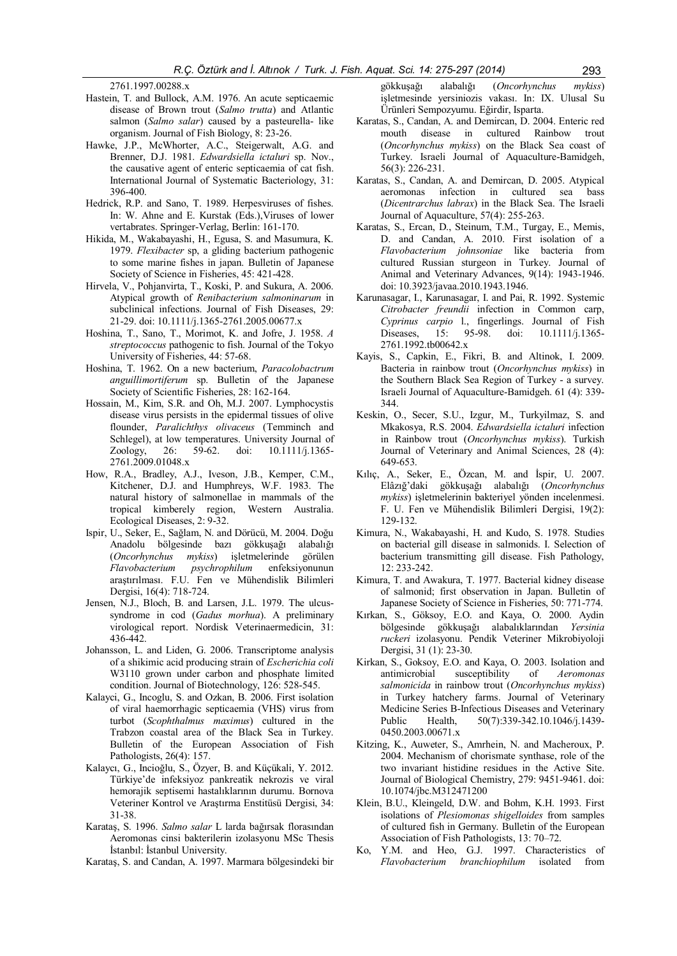2761.1997.00288.x

- Hastein, T. and Bullock, A.M. 1976. An acute septicaemic disease of Brown trout (Salmo trutta) and Atlantic salmon (Salmo salar) caused by a pasteurella- like organism. Journal of Fish Biology, 8: 23-26.
- Hawke, J.P., McWhorter, A.C., Steigerwalt, A.G. and Brenner, D.J. 1981. Edwardsiella ictaluri sp. Nov., the causative agent of enteric septicaemia of cat fish. International Journal of Systematic Bacteriology, 31: 396-400.
- Hedrick, R.P. and Sano, T. 1989. Herpesviruses of fishes. In: W. Ahne and E. Kurstak (Eds.),Viruses of lower vertabrates. Springer-Verlag, Berlin: 161-170.
- Hikida, M., Wakabayashi, H., Egusa, S. and Masumura, K. 1979. Flexibacter sp, a gliding bacterium pathogenic to some marine fishes in japan. Bulletin of Japanese Society of Science in Fisheries, 45: 421-428.
- Hirvela, V., Pohjanvirta, T., Koski, P. and Sukura, A. 2006. Atypical growth of Renibacterium salmoninarum in subclinical infections. Journal of Fish Diseases, 29: 21-29. doi: 10.1111/j.1365-2761.2005.00677.x
- Hoshina, T., Sano, T., Morimot, K. and Jofre, J. 1958. A streptococcus pathogenic to fish. Journal of the Tokyo University of Fisheries, 44: 57-68.
- Hoshina, T. 1962. On a new bacterium, Paracolobactrum anguillimortiferum sp. Bulletin of the Japanese Society of Scientific Fisheries, 28: 162-164.
- Hossain, M., Kim, S.R. and Oh, M.J. 2007. Lymphocystis disease virus persists in the epidermal tissues of olive flounder, Paralichthys olivaceus (Temminch and Schlegel), at low temperatures. University Journal of Zoology, 26: 59-62. doi: 10.1111/j.1365-26: 59-62. doi: 10.1111/j.1365-2761.2009.01048.x
- How, R.A., Bradley, A.J., Iveson, J.B., Kemper, C.M., Kitchener, D.J. and Humphreys, W.F. 1983. The natural history of salmonellae in mammals of the tropical kimberely region, Western Australia. Ecological Diseases, 2: 9-32.
- Ispir, U., Seker, E., Sağlam, N. and Dörücü, M. 2004. Doğu Anadolu bölgesinde bazı gökkuşağı alabalığı (Oncorhynchus mykiss) işletmelerinde görülen<br>Flavobacterium psychrophilum enfeksiyonunun Flavobacterium psychrophilum araştırılması. F.U. Fen ve Mühendislik Bilimleri Dergisi, 16(4): 718-724.
- Jensen, N.J., Bloch, B. and Larsen, J.L. 1979. The ulcussyndrome in cod (Gadus morhua). A preliminary virological report. Nordisk Veterinaermedicin, 31: 436-442.
- Johansson, L. and Liden, G. 2006. Transcriptome analysis of a shikimic acid producing strain of Escherichia coli W3110 grown under carbon and phosphate limited condition. Journal of Biotechnology, 126: 528-545.
- Kalayci, G., Incoglu, S. and Ozkan, B. 2006. First isolation of viral haemorrhagic septicaemia (VHS) virus from turbot (Scophthalmus maximus) cultured in the Trabzon coastal area of the Black Sea in Turkey. Bulletin of the European Association of Fish Pathologists, 26(4): 157.
- Kalaycı, G., Incioğlu, S., Özyer, B. and Küçükali, Y. 2012. Türkiye'de infeksiyoz pankreatik nekrozis ve viral hemorajik septisemi hastalıklarının durumu. Bornova Veteriner Kontrol ve Araştırma Enstitüsü Dergisi, 34: 31-38.
- Karataş, S. 1996. Salmo salar L larda bağırsak florasından Aeromonas cinsi bakterilerin izolasyonu MSc Thesis İstanbıl: İstanbul University.
- Karataş, S. and Candan, A. 1997. Marmara bölgesindeki bir

gökkuşağı alabalığı (Oncorhynchus mykiss) işletmesinde yersiniozis vakası. In: IX. Ulusal Su Ürünleri Sempozyumu. Eğirdir, Isparta.

- Karatas, S., Candan, A. and Demircan, D. 2004. Enteric red mouth disease in cultured Rainbow trout (Oncorhynchus mykiss) on the Black Sea coast of Turkey. Israeli Journal of Aquaculture-Bamidgeh, 56(3): 226-231.
- Karatas, S., Candan, A. and Demircan, D. 2005. Atypical aeromonas infection in cultured sea bass (Dicentrarchus labrax) in the Black Sea. The Israeli Journal of Aquaculture, 57(4): 255-263.
- Karatas, S., Ercan, D., Steinum, T.M., Turgay, E., Memis, D. and Candan, A. 2010. First isolation of a Flavobacterium johnsoniae like bacteria from cultured Russian sturgeon in Turkey. Journal of Animal and Veterinary Advances, 9(14): 1943-1946. doi: 10.3923/javaa.2010.1943.1946.
- Karunasagar, I., Karunasagar, I. and Pai, R. 1992. Systemic Citrobacter freundii infection in Common carp, Cyprinus carpio 1., fingerlings. Journal of Fish<br>Diseases. 15: 95-98. doi: 10.1111/i.1365-Diseases, 15: 95-98. doi: 10.1111/j.1365- 2761.1992.tb00642.x
- Kayis, S., Capkin, E., Fikri, B. and Altinok, I. 2009. Bacteria in rainbow trout (Oncorhynchus mykiss) in the Southern Black Sea Region of Turkey - a survey. Israeli Journal of Aquaculture-Bamidgeh. 61 (4): 339- 344.
- Keskin, O., Secer, S.U., Izgur, M., Turkyilmaz, S. and Mkakosya, R.S. 2004. Edwardsiella ictaluri infection in Rainbow trout (Oncorhynchus mykiss). Turkish Journal of Veterinary and Animal Sciences, 28 (4): 649-653.
- Kılıç, A., Seker, E., Özcan, M. and İspir, U. 2007. Elâzığ'daki gökkuşağı alabalığı (Oncorhynchus mykiss) işletmelerinin bakteriyel yönden incelenmesi. F. U. Fen ve Mühendislik Bilimleri Dergisi, 19(2): 129-132.
- Kimura, N., Wakabayashi, H. and Kudo, S. 1978. Studies on bacterial gill disease in salmonids. I. Selection of bacterium transmitting gill disease. Fish Pathology,  $12: 233 - 242$ .
- Kimura, T. and Awakura, T. 1977. Bacterial kidney disease of salmonid; first observation in Japan. Bulletin of Japanese Society of Science in Fisheries, 50: 771-774.
- Kırkan, S., Göksoy, E.O. and Kaya, O. 2000. Aydin bölgesinde gökkuşağı alabalıklarından Yersinia ruckeri izolasyonu. Pendik Veteriner Mikrobiyoloji Dergisi, 31 (1): 23-30.
- Kirkan, S., Goksoy, E.O. and Kaya, O. 2003. Isolation and antimicrobial susceptibility of Aeromonas salmonicida in rainbow trout (Oncorhynchus mykiss) in Turkey hatchery farms. Journal of Veterinary Medicine Series B-Infectious Diseases and Veterinary<br>Public Health,  $50(7)$ :339-342.10.1046/j.1439-Public Health, 50(7):339-342.10.1046/j.1439- 0450.2003.00671.x
- Kitzing, K., Auweter, S., Amrhein, N. and Macheroux, P. 2004. Mechanism of chorismate synthase, role of the two invariant histidine residues in the Active Site. Journal of Biological Chemistry, 279: 9451-9461. doi: 10.1074/jbc.M312471200
- Klein, B.U., Kleingeld, D.W. and Bohm, K.H. 1993. First isolations of Plesiomonas shigelloides from samples of cultured fish in Germany. Bulletin of the European Association of Fish Pathologists, 13: 70–72.
- Ko, Y.M. and Heo, G.J. 1997. Characteristics of Flavobacterium branchiophilum isolated from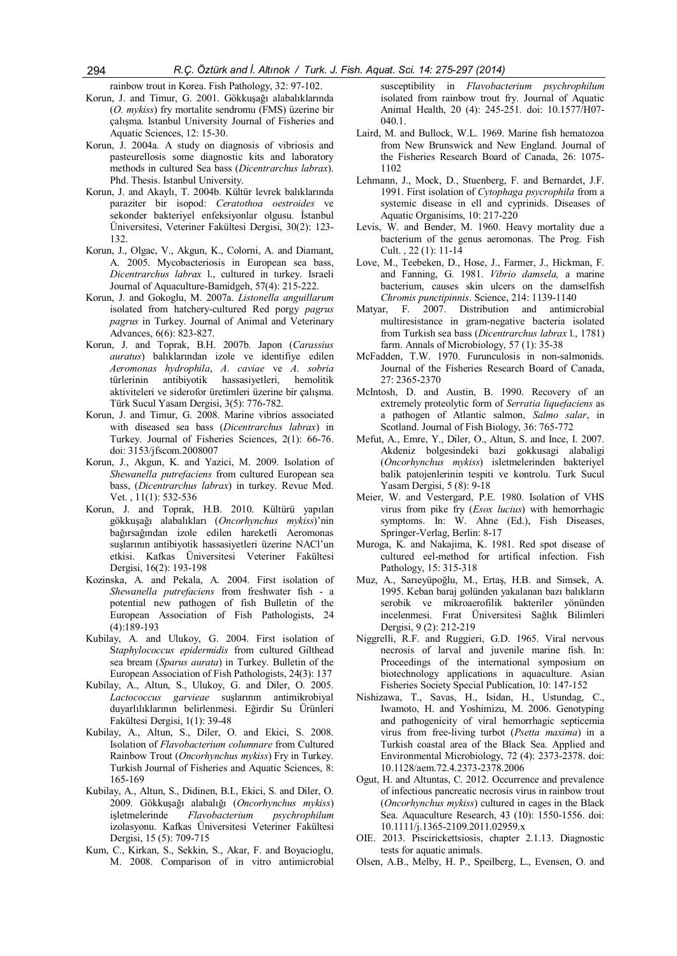rainbow trout in Korea. Fish Pathology, 32: 97-102.

- Korun, J. and Timur, G. 2001. Gökkuşağı alabalıklarında (O. mykiss) fry mortalite sendromu (FMS) üzerine bir çalışma. Istanbul University Journal of Fisheries and Aquatic Sciences, 12: 15-30.
- Korun, J. 2004a. A study on diagnosis of vibriosis and pasteurellosis some diagnostic kits and laboratory methods in cultured Sea bass (Dicentrarchus labrax). Phd. Thesis. Istanbul University.
- Korun, J. and Akaylı, T. 2004b. Kültür levrek balıklarında paraziter bir isopod: Ceratothoa oestroides ve sekonder bakteriyel enfeksiyonlar olgusu. İstanbul Üniversitesi, Veteriner Fakültesi Dergisi, 30(2): 123- 132.
- Korun, J., Olgac, V., Akgun, K., Colorni, A. and Diamant, A. 2005. Mycobacteriosis in European sea bass, Dicentrarchus labrax l., cultured in turkey. Israeli Journal of Aquaculture-Bamidgeh, 57(4): 215-222.
- Korun, J. and Gokoglu, M. 2007a. Listonella anguillarum isolated from hatchery-cultured Red porgy pagrus pagrus in Turkey. Journal of Animal and Veterinary Advances, 6(6): 823-827.
- Korun, J. and Toprak, B.H. 2007b. Japon (Carassius auratus) balıklarından izole ve identifiye edilen Aeromonas hydrophila, A. caviae ve A. sobria türlerinin antibiyotik hassasiyetleri, hemolitik aktiviteleri ve siderofor üretimleri üzerine bir çalışma. Türk Sucul Yasam Dergisi, 3(5): 776-782.
- Korun, J. and Timur, G. 2008. Marine vibrios associated with diseased sea bass (Dicentrarchus labrax) in Turkey. Journal of Fisheries Sciences, 2(1): 66-76. doi: 3153/jfscom.2008007
- Korun, J., Akgun, K. and Yazici, M. 2009. Isolation of Shewanella putrefaciens from cultured European sea bass, (Dicentrarchus labrax) in turkey. Revue Med. Vet. , 11(1): 532-536
- Korun, J. and Toprak, H.B. 2010. Kültürü yapılan gökkuşağı alabalıkları (Oncorhynchus mykiss)'nin bağırsağından izole edilen hareketli Aeromonas suşlarının antibiyotik hassasiyetleri üzerine NACl'un etkisi. Kafkas Üniversitesi Veteriner Fakültesi Dergisi, 16(2): 193-198
- Kozinska, A. and Pekala, A. 2004. First isolation of Shewanella putrefaciens from freshwater fish - a potential new pathogen of fish Bulletin of the European Association of Fish Pathologists, 24 (4):189-193
- Kubilay, A. and Ulukoy, G. 2004. First isolation of Staphylococcus epidermidis from cultured Gilthead sea bream (Sparus aurata) in Turkey. Bulletin of the European Association of Fish Pathologists, 24(3): 137
- Kubilay, A., Altun, S., Ulukoy, G. and Diler, O. 2005. Lactococcus garvieae suşlarının antimikrobiyal duyarlılıklarının belirlenmesi. Eğirdir Su Ürünleri Fakültesi Dergisi, 1(1): 39-48
- Kubilay, A., Altun, S., Diler, O. and Ekici, S. 2008. Isolation of Flavobacterium columnare from Cultured Rainbow Trout (Oncorhynchus mykiss) Fry in Turkey. Turkish Journal of Fisheries and Aquatic Sciences, 8: 165-169
- Kubilay, A., Altun, S., Didinen, B.I., Ekici, S. and Diler, O. 2009. Gökkuşağı alabalığı (Oncorhynchus mykiss) isletmelerinde Flavobacterium psychrophilum izolasyonu. Kafkas Üniversitesi Veteriner Fakültesi Dergisi, 15 (5): 709-715
- Kum, C., Kirkan, S., Sekkin, S., Akar, F. and Boyacioglu, M. 2008. Comparison of in vitro antimicrobial

susceptibility in Flavobacterium psychrophilum isolated from rainbow trout fry. Journal of Aquatic Animal Health, 20 (4): 245-251. doi: 10.1577/H07- 040.1.

- Laird, M. and Bullock, W.L. 1969. Marine fish hematozoa from New Brunswick and New England. Journal of the Fisheries Research Board of Canada, 26: 1075- 1102
- Lehmann, J., Mock, D., Stuenberg, F. and Bernardet, J.F. 1991. First isolation of Cytophaga psycrophila from a systemic disease in ell and cyprinids. Diseases of Aquatic Organisims, 10: 217-220
- Levis, W. and Bender, M. 1960. Heavy mortality due a bacterium of the genus aeromonas. The Prog. Fish Cult. , 22 (1): 11-14
- Love, M., Teebeken, D., Hose, J., Farmer, J., Hickman, F. and Fanning, G. 1981. Vibrio damsela, a marine bacterium, causes skin ulcers on the damselfish Chromis punctipinnis. Science, 214: 1139-1140
- Matyar, F. 2007. Distribution and antimicrobial multiresistance in gram-negative bacteria isolated from Turkish sea bass (Dicentrarchus labrax l., 1781) farm. Annals of Microbiology, 57 (1): 35-38
- McFadden, T.W. 1970. Furunculosis in non-salmonids. Journal of the Fisheries Research Board of Canada, 27: 2365-2370
- McIntosh, D. and Austin, B. 1990. Recovery of an extremely proteolytic form of Serratia liquefaciens as a pathogen of Atlantic salmon, Salmo salar, in Scotland. Journal of Fish Biology, 36: 765-772
- Mefut, A., Emre, Y., Diler, O., Altun, S. and Ince, I. 2007. Akdeniz bolgesindeki bazi gokkusagi alabaligi (Oncorhynchus mykiss) isletmelerinden bakteriyel balik patojenlerinin tespiti ve kontrolu. Turk Sucul Yasam Dergisi, 5 (8): 9-18
- Meier, W. and Vestergard, P.E. 1980. Isolation of VHS virus from pike fry (Esox lucius) with hemorrhagic symptoms. In: W. Ahne (Ed.), Fish Diseases, Springer-Verlag, Berlin: 8-17
- Muroga, K. and Nakajima, K. 1981. Red spot disease of cultured eel-method for artifical infection. Fish Pathology, 15: 315-318
- Muz, A., Sarıeyüpoğlu, M., Ertaş, H.B. and Simsek, A. 1995. Keban baraj golünden yakalanan bazı balıkların serobik ve mikroaerofilik bakteriler yönünden incelenmesi. Fırat Üniversitesi Sağlık Bilimleri Dergisi, 9 (2): 212-219
- Niggrelli, R.F. and Ruggieri, G.D. 1965. Viral nervous necrosis of larval and juvenile marine fish. In: Proceedings of the international symposium on biotechnology applications in aquaculture. Asian Fisheries Society Special Publication, 10: 147-152
- Nishizawa, T., Savas, H., Isidan, H., Ustundag, C., Iwamoto, H. and Yoshimizu, M. 2006. Genotyping and pathogenicity of viral hemorrhagic septicemia virus from free-living turbot (Psetta maxima) in a Turkish coastal area of the Black Sea. Applied and Environmental Microbiology, 72 (4): 2373-2378. doi: 10.1128/aem.72.4.2373-2378.2006
- Ogut, H. and Altuntas, C. 2012. Occurrence and prevalence of infectious pancreatic necrosis virus in rainbow trout (Oncorhynchus mykiss) cultured in cages in the Black Sea. Aquaculture Research, 43 (10): 1550-1556. doi: 10.1111/j.1365-2109.2011.02959.x
- OIE. 2013. Piscirickettsiosis, chapter 2.1.13. Diagnostic tests for aquatic animals.
- Olsen, A.B., Melby, H. P., Speilberg, L., Evensen, O. and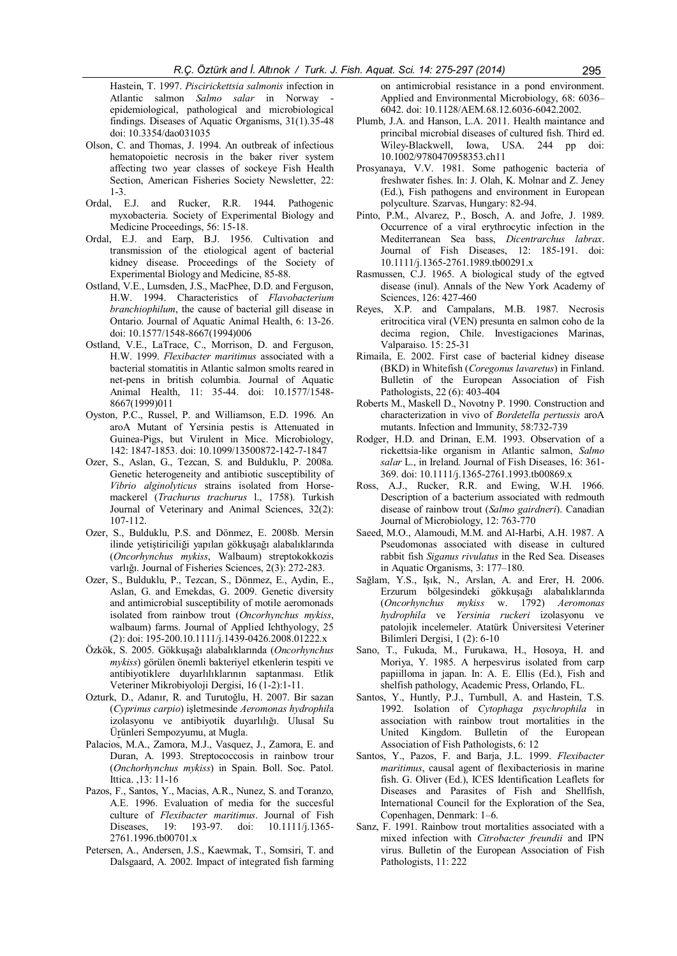Hastein, T. 1997. Piscirickettsia salmonis infection in Atlantic salmon Salmo salar in Norway epidemiological, pathological and microbiological findings. Diseases of Aquatic Organisms, 31(1).35-48 doi: 10.3354/dao031035

- Olson, C. and Thomas, J. 1994. An outbreak of infectious hematopoietic necrosis in the baker river system affecting two year classes of sockeye Fish Health Section, American Fisheries Society Newsletter, 22:  $1-3$ .<br>Ordal, E.J.
- and Rucker, R.R. 1944. Pathogenic myxobacteria. Society of Experimental Biology and Medicine Proceedings, 56: 15-18.
- Ordal, E.J. and Earp, B.J. 1956. Cultivation and transmission of the etiological agent of bacterial kidney disease. Proceedings of the Society of Experimental Biology and Medicine, 85-88.
- Ostland, V.E., Lumsden, J.S., MacPhee, D.D. and Ferguson, H.W. 1994. Characteristics of Flavobacterium branchiophilum, the cause of bacterial gill disease in Ontario. Journal of Aquatic Animal Health, 6: 13-26. doi: 10.1577/1548-8667(1994)006
- Ostland, V.E., LaTrace, C., Morrison, D. and Ferguson, H.W. 1999. Flexibacter maritimus associated with a bacterial stomatitis in Atlantic salmon smolts reared in net-pens in british columbia. Journal of Aquatic Animal Health, 11: 35-44. doi: 10.1577/1548- 8667(1999)011
- Oyston, P.C., Russel, P. and Williamson, E.D. 1996. An aroA Mutant of Yersinia pestis is Attenuated in Guinea-Pigs, but Virulent in Mice. Microbiology, 142: 1847-1853. doi: 10.1099/13500872-142-7-1847
- Ozer, S., Aslan, G., Tezcan, S. and Bulduklu, P. 2008a. Genetic heterogeneity and antibiotic susceptibility of Vibrio alginolyticus strains isolated from Horsemackerel (Trachurus trachurus l., 1758). Turkish Journal of Veterinary and Animal Sciences, 32(2): 107-112.
- Ozer, S., Bulduklu, P.S. and Dönmez, E. 2008b. Mersin ilinde yetiştiriciliği yapılan gökkuşağı alabalıklarında (Oncorhynchus mykiss, Walbaum) streptokokkozis varlığı. Journal of Fisheries Sciences, 2(3): 272-283.
- Ozer, S., Bulduklu, P., Tezcan, S., Dönmez, E., Aydin, E., Aslan, G. and Emekdas, G. 2009. Genetic diversity and antimicrobial susceptibility of motile aeromonads isolated from rainbow trout (Oncorhynchus mykiss, walbaum) farms. Journal of Applied Ichthyology, 25 (2): doi: 195-200.10.1111/j.1439-0426.2008.01222.x
- Özkök, S. 2005. Gökkuşağı alabalıklarında (Oncorhynchus mykiss) görülen önemli bakteriyel etkenlerin tespiti ve antibiyotiklere duyarlılıklarının saptanması. Etlik Veteriner Mikrobiyoloji Dergisi, 16 (1-2):1-11.
- Ozturk, D., Adanır, R. and Turutoğlu, H. 2007. Bir sazan (Cyprinus carpio) işletmesinde Aeromonas hydrophila izolasyonu ve antibiyotik duyarlılığı. Ulusal Su Ürünleri Sempozyumu, at Mugla.
- Palacios, M.A., Zamora, M.J., Vasquez, J., Zamora, E. and Duran, A. 1993. Streptococcosis in rainbow trour (Onchorhynchus mykiss) in Spain. Boll. Soc. Patol. Ittica. ,13: 11-16
- Pazos, F., Santos, Y., Macias, A.R., Nunez, S. and Toranzo, A.E. 1996. Evaluation of media for the succesful culture of Flexibacter maritimus. Journal of Fish Diseases, 19: 193-97. doi: 10.1111/j.1365- 2761.1996.tb00701.x
- Petersen, A., Andersen, J.S., Kaewmak, T., Somsiri, T. and Dalsgaard, A. 2002. Impact of integrated fish farming

on antimicrobial resistance in a pond environment. Applied and Environmental Microbiology, 68: 6036– 6042. doi: 10.1128/AEM.68.12.6036-6042.2002.

- Plumb, J.A. and Hanson, L.A. 2011. Health maintance and princibal microbial diseases of cultured fish. Third ed. Wiley-Blackwell, Iowa, USA. 244 pp doi: 10.1002/9780470958353.ch11
- Prosyanaya, V.V. 1981. Some pathogenic bacteria of freshwater fishes. In: J. Olah, K. Molnar and Z. Jeney (Ed.), Fish pathogens and environment in European polyculture. Szarvas, Hungary: 82-94.
- Pinto, P.M., Alvarez, P., Bosch, A. and Jofre, J. 1989. Occurrence of a viral erythrocytic infection in the Mediterranean Sea bass, Dicentrarchus labrax. Journal of Fish Diseases, 12: 185-191. doi: 10.1111/j.1365-2761.1989.tb00291.x
- Rasmussen, C.J. 1965. A biological study of the egtved disease (inul). Annals of the New York Academy of Sciences, 126: 427-460
- Reyes, X.P. and Campalans, M.B. 1987. Necrosis eritrocitica viral (VEN) presunta en salmon coho de la decima region, Chile. Investigaciones Marinas, Valparaiso. 15: 25-31
- Rimaila, E. 2002. First case of bacterial kidney disease (BKD) in Whitefish (Coregonus lavaretus) in Finland. Bulletin of the European Association of Fish Pathologists, 22 (6): 403-404
- Roberts M., Maskell D., Novotny P. 1990. Construction and characterization in vivo of Bordetella pertussis aroA mutants. Infection and Immunity, 58:732-739
- Rodger, H.D. and Drinan, E.M. 1993. Observation of a rickettsia-like organism in Atlantic salmon, Salmo salar L., in Ireland. Journal of Fish Diseases, 16: 361-369. doi: 10.1111/j.1365-2761.1993.tb00869.x
- Ross, A.J., Rucker, R.R. and Ewing, W.H. 1966. Description of a bacterium associated with redmouth disease of rainbow trout (Salmo gairdneri). Canadian Journal of Microbiology, 12: 763-770
- Saeed, M.O., Alamoudi, M.M. and Al-Harbi, A.H. 1987. A Pseudomonas associated with disease in cultured rabbit fish Siganus rivulatus in the Red Sea. Diseases in Aquatic Organisms, 3: 177–180.
- Sağlam, Y.S., Işık, N., Arslan, A. and Erer, H. 2006. Erzurum bölgesindeki gökkuşağı alabalıklarında (Oncorhynchus mykiss w. 1792) Aeromonas hydrophila ve Yersinia ruckeri izolasyonu ve patolojik incelemeler. Atatürk Üniversitesi Veteriner Bilimleri Dergisi, 1 (2): 6-10
- Sano, T., Fukuda, M., Furukawa, H., Hosoya, H. and Moriya, Y. 1985. A herpesvirus isolated from carp papiilloma in japan. In: A. E. Ellis (Ed.), Fish and shelfish pathology, Academic Press, Orlando, FL.
- Santos, Y., Huntly, P.J., Turnbull, A. and Hastein, T.S. 1992. Isolation of Cytophaga psychrophila in association with rainbow trout mortalities in the United Kingdom. Bulletin of the European Association of Fish Pathologists, 6: 12
- Santos, Y., Pazos, F. and Barja, J.L. 1999. Flexibacter maritimus, causal agent of flexibacteriosis in marine fish. G. Oliver (Ed.), ICES Identification Leaflets for Diseases and Parasites of Fish and Shellfish, International Council for the Exploration of the Sea, Copenhagen, Denmark: 1–6.
- Sanz, F. 1991. Rainbow trout mortalities associated with a mixed infection with Citrobacter freundii and IPN virus. Bulletin of the European Association of Fish Pathologists, 11: 222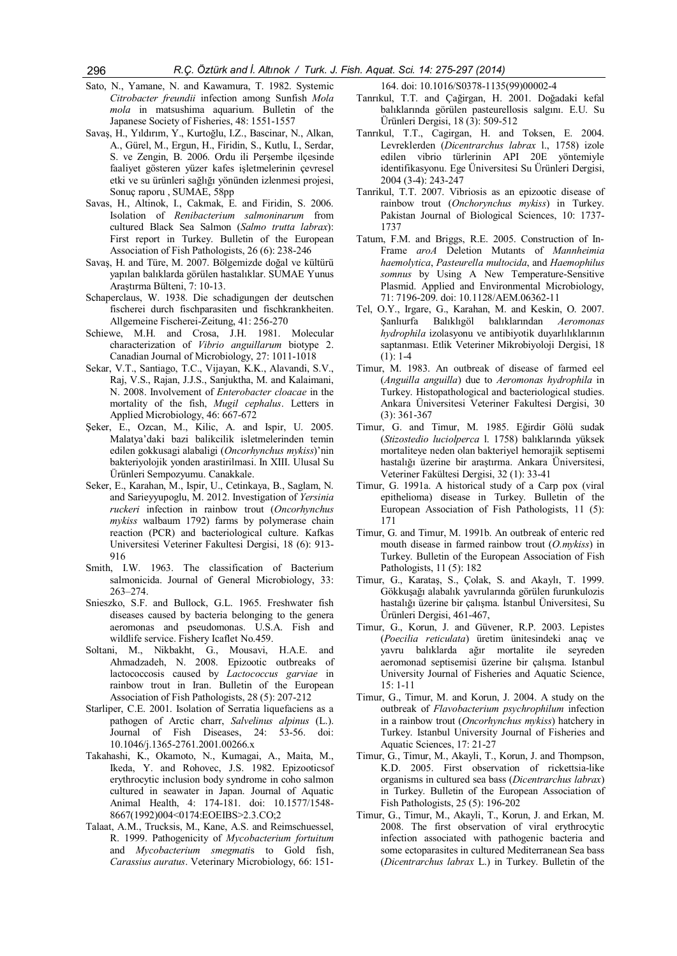- Sato, N., Yamane, N. and Kawamura, T. 1982. Systemic Citrobacter freundii infection among Sunfish Mola mola in matsushima aquarium. Bulletin of the Japanese Society of Fisheries, 48: 1551-1557
- Savaş, H., Yıldırım, Y., Kurtoğlu, I.Z., Bascinar, N., Alkan, A., Gürel, M., Ergun, H., Firidin, S., Kutlu, I., Serdar, S. ve Zengin, B. 2006. Ordu ili Perşembe ilçesinde faaliyet gösteren yüzer kafes işletmelerinin çevresel etki ve su ürünleri sağlığı yönünden izlenmesi projesi, Sonuç raporu , SUMAE, 58pp
- Savas, H., Altinok, I., Cakmak, E. and Firidin, S. 2006. Isolation of Renibacterium salmoninarum from cultured Black Sea Salmon (Salmo trutta labrax): First report in Turkey. Bulletin of the European Association of Fish Pathologists, 26 (6): 238-246
- Savaş, H. and Türe, M. 2007. Bölgemizde doğal ve kültürü yapılan balıklarda görülen hastalıklar. SUMAE Yunus Araştırma Bülteni, 7: 10-13.
- Schaperclaus, W. 1938. Die schadigungen der deutschen fischerei durch fischparasiten und fischkrankheiten. Allgemeine Fischerei-Zeitung, 41: 256-270
- Schiewe, M.H. and Crosa, J.H. 1981. Molecular characterization of Vibrio anguillarum biotype 2. Canadian Journal of Microbiology, 27: 1011-1018
- Sekar, V.T., Santiago, T.C., Vijayan, K.K., Alavandi, S.V., Raj, V.S., Rajan, J.J.S., Sanjuktha, M. and Kalaimani, N. 2008. Involvement of Enterobacter cloacae in the mortality of the fish, Mugil cephalus. Letters in Applied Microbiology, 46: 667-672
- Şeker, E., Ozcan, M., Kilic, A. and Ispir, U. 2005. Malatya'daki bazi balikcilik isletmelerinden temin edilen gokkusagi alabaligi (Oncorhynchus mykiss)'nin bakteriyolojik yonden arastirilmasi. In XIII. Ulusal Su Ürünleri Sempozyumu. Canakkale.
- Seker, E., Karahan, M., Ispir, U., Cetinkaya, B., Saglam, N. and Sarieyyupoglu, M. 2012. Investigation of Yersinia ruckeri infection in rainbow trout (Oncorhynchus mykiss walbaum 1792) farms by polymerase chain reaction (PCR) and bacteriological culture. Kafkas Universitesi Veteriner Fakultesi Dergisi, 18 (6): 913- 916
- Smith, I.W. 1963. The classification of Bacterium salmonicida. Journal of General Microbiology, 33: 263–274.
- Snieszko, S.F. and Bullock, G.L. 1965. Freshwater fish diseases caused by bacteria belonging to the genera aeromonas and pseudomonas. U.S.A. Fish and wildlife service. Fishery Icaflet No.459.
- Soltani, M., Nikbakht, G., Mousavi, H.A.E. and Ahmadzadeh, N. 2008. Epizootic outbreaks of lactococcosis caused by Lactococcus garviae in rainbow trout in Iran. Bulletin of the European Association of Fish Pathologists, 28 (5): 207-212
- Starliper, C.E. 2001. Isolation of Serratia liquefaciens as a pathogen of Arctic charr, Salvelinus alpinus (L.). Journal of Fish Diseases, 24: 53-56. doi: 10.1046/j.1365-2761.2001.00266.x
- Takahashi, K., Okamoto, N., Kumagai, A., Maita, M., Ikeda, Y. and Rohovec, J.S. 1982. Epizooticsof erythrocytic inclusion body syndrome in coho salmon cultured in seawater in Japan. Journal of Aquatic Animal Health, 4: 174-181. doi: 10.1577/1548- 8667(1992)004<0174:EOEIBS>2.3.CO;2
- Talaat, A.M., Trucksis, M., Kane, A.S. and Reimschuessel, R. 1999. Pathogenicity of Mycobacterium fortuitum and Mycobacterium smegmatis to Gold fish, Carassius auratus. Veterinary Microbiology, 66: 151-

164. doi: 10.1016/S0378-1135(99)00002-4

- Tanrıkul, T.T. and Çağirgan, H. 2001. Doğadaki kefal balıklarında görülen pasteurellosis salgını. E.U. Su Ürünleri Dergisi, 18 (3): 509-512
- Tanrıkul, T.T., Cagirgan, H. and Toksen, E. 2004. Levreklerden (Dicentrarchus labrax l., 1758) izole edilen vibrio türlerinin API 20E yöntemiyle identifikasyonu. Ege Üniversitesi Su Ürünleri Dergisi, 2004 (3-4): 243-247
- Tanrikul, T.T. 2007. Vibriosis as an epizootic disease of rainbow trout (Onchorynchus mykiss) in Turkey. Pakistan Journal of Biological Sciences, 10: 1737- 1737
- Tatum, F.M. and Briggs, R.E. 2005. Construction of In-Frame aroA Deletion Mutants of Mannheimia haemolytica, Pasteurella multocida, and Haemophilus somnus by Using A New Temperature-Sensitive Plasmid. Applied and Environmental Microbiology, 71: 7196-209. doi: 10.1128/AEM.06362-11
- Tel, O.Y., Irgare, G., Karahan, M. and Keskin, O. 2007. Şanlıurfa Balıklıgöl balıklarından Aeromonas hydrophila izolasyonu ve antibiyotik duyarlılıklarının saptanması. Etlik Veteriner Mikrobiyoloji Dergisi, 18  $(1): 1-4$
- Timur, M. 1983. An outbreak of disease of farmed eel (Anguilla anguilla) due to Aeromonas hydrophila in Turkey. Histopathological and bacteriological studies. Ankara Üniversitesi Veteriner Fakultesi Dergisi, 30 (3): 361-367
- Timur, G. and Timur, M. 1985. Eğirdir Gölü sudak (Stizostedio luciolperca l. 1758) balıklarında yüksek mortaliteye neden olan bakteriyel hemorajik septisemi hastalığı üzerine bir araştırma. Ankara Üniversitesi, Veteriner Fakültesi Dergisi, 32 (1): 33-41
- Timur, G. 1991a. A historical study of a Carp pox (viral epithelioma) disease in Turkey. Bulletin of the European Association of Fish Pathologists, 11 (5): 171
- Timur, G. and Timur, M. 1991b. An outbreak of enteric red mouth disease in farmed rainbow trout (O.mykiss) in Turkey. Bulletin of the European Association of Fish Pathologists, 11 (5): 182
- Timur, G., Karataş, S., Çolak, S. and Akaylı, T. 1999. Gökkuşağı alabalık yavrularında görülen furunkulozis hastalığı üzerine bir çalışma. İstanbul Üniversitesi, Su Ürünleri Dergisi, 461-467,
- Timur, G., Korun, J. and Güvener, R.P. 2003. Lepistes (Poecilia reticulata) üretim ünitesindeki anaç ve yavru balıklarda ağır mortalite ile seyreden aeromonad septisemisi üzerine bir çalışma. Istanbul University Journal of Fisheries and Aquatic Science, 15: 1-11
- Timur, G., Timur, M. and Korun, J. 2004. A study on the outbreak of Flavobacterium psychrophilum infection in a rainbow trout (Oncorhynchus mykiss) hatchery in Turkey. Istanbul University Journal of Fisheries and Aquatic Sciences, 17: 21-27
- Timur, G., Timur, M., Akayli, T., Korun, J. and Thompson, K.D. 2005. First observation of rickettsia-like organisms in cultured sea bass (Dicentrarchus labrax) in Turkey. Bulletin of the European Association of Fish Pathologists, 25 (5): 196-202
- Timur, G., Timur, M., Akayli, T., Korun, J. and Erkan, M. 2008. The first observation of viral erythrocytic infection associated with pathogenic bacteria and some ectoparasites in cultured Mediterranean Sea bass (Dicentrarchus labrax L.) in Turkey. Bulletin of the